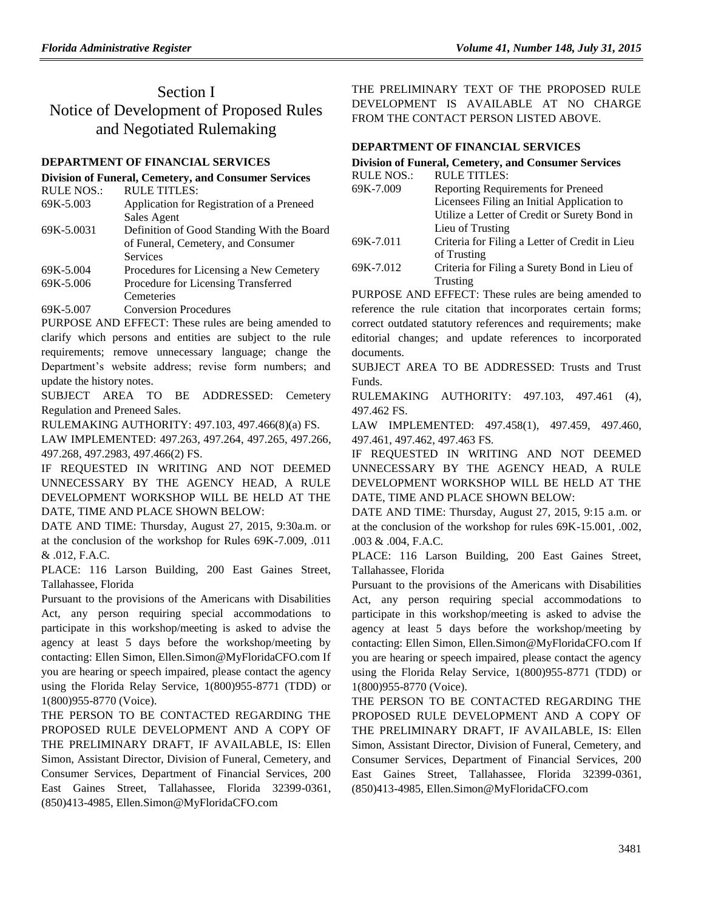# Section I Notice of Development of Proposed Rules and Negotiated Rulemaking

## **[DEPARTMENT OF FINANCIAL SERVICES](https://www.flrules.org/gateway/department.asp?id=69)**

### **[Division of Funeral, Cemetery, and Consumer Services](https://www.flrules.org/gateway/organization.asp?id=369)**

| <b>RULE TITLES:</b>                        |
|--------------------------------------------|
| Application for Registration of a Preneed  |
| Sales Agent                                |
| Definition of Good Standing With the Board |
| of Funeral, Cemetery, and Consumer         |
| Services                                   |
| Procedures for Licensing a New Cemetery    |
| Procedure for Licensing Transferred        |
|                                            |

- Cemeteries
- [69K-5.007](https://www.flrules.org/gateway/ruleNo.asp?id=69K-5.007) Conversion Procedures

PURPOSE AND EFFECT: These rules are being amended to clarify which persons and entities are subject to the rule requirements; remove unnecessary language; change the Department's website address; revise form numbers; and update the history notes.

SUBJECT AREA TO BE ADDRESSED: Cemetery Regulation and Preneed Sales.

RULEMAKING AUTHORITY: [497.103,](https://www.flrules.org/gateway/statute.asp?id=497.103) [497.466\(8\)\(a\)](https://www.flrules.org/gateway/statute.asp?id=%20497.466(8)(a)) FS.

LAW IMPLEMENTED: [497.263,](https://www.flrules.org/gateway/statute.asp?id=497.263) [497.264,](https://www.flrules.org/gateway/statute.asp?id=%20497.264) [497.265,](https://www.flrules.org/gateway/statute.asp?id=%20497.265) [497.266,](https://www.flrules.org/gateway/statute.asp?id=%20497.266) [497.268,](https://www.flrules.org/gateway/statute.asp?id=%20497.268) [497.2983,](https://www.flrules.org/gateway/statute.asp?id=%20497.2983) [497.466\(2\)](https://www.flrules.org/gateway/statute.asp?id=%20497.466(2)) FS.

IF REQUESTED IN WRITING AND NOT DEEMED UNNECESSARY BY THE AGENCY HEAD, A RULE DEVELOPMENT WORKSHOP WILL BE HELD AT THE DATE, TIME AND PLACE SHOWN BELOW:

DATE AND TIME: Thursday, August 27, 2015, 9:30a.m. or at the conclusion of the workshop for Rules 69K-7.009, .011 & .012, F.A.C.

PLACE: 116 Larson Building, 200 East Gaines Street, Tallahassee, Florida

Pursuant to the provisions of the Americans with Disabilities Act, any person requiring special accommodations to participate in this workshop/meeting is asked to advise the agency at least 5 days before the workshop/meeting by contacting: Ellen Simon, Ellen.Simon@MyFloridaCFO.com If you are hearing or speech impaired, please contact the agency using the Florida Relay Service, 1(800)955-8771 (TDD) or 1(800)955-8770 (Voice).

THE PERSON TO BE CONTACTED REGARDING THE PROPOSED RULE DEVELOPMENT AND A COPY OF THE PRELIMINARY DRAFT, IF AVAILABLE, IS: Ellen Simon, Assistant Director, Division of Funeral, Cemetery, and Consumer Services, Department of Financial Services, 200 East Gaines Street, Tallahassee, Florida 32399-0361, (850)413-4985, Ellen.Simon@MyFloridaCFO.com

THE PRELIMINARY TEXT OF THE PROPOSED RULE DEVELOPMENT IS AVAILABLE AT NO CHARGE FROM THE CONTACT PERSON LISTED ABOVE.

## **[DEPARTMENT OF FINANCIAL SERVICES](https://www.flrules.org/gateway/department.asp?id=69)**

## **[Division of Funeral, Cemetery, and Consumer Services](https://www.flrules.org/gateway/organization.asp?id=369)**

| <b>RULE NOS.:</b> | <b>RULE TITLES:</b>                            |
|-------------------|------------------------------------------------|
| 69K-7.009         | Reporting Requirements for Preneed             |
|                   | Licensees Filing an Initial Application to     |
|                   | Utilize a Letter of Credit or Surety Bond in   |
|                   | Lieu of Trusting                               |
| 69K-7.011         | Criteria for Filing a Letter of Credit in Lieu |
|                   | of Trusting                                    |
| 69K-7.012         | Criteria for Filing a Surety Bond in Lieu of   |
|                   | Trusting                                       |

PURPOSE AND EFFECT: These rules are being amended to reference the rule citation that incorporates certain forms; correct outdated statutory references and requirements; make editorial changes; and update references to incorporated documents.

SUBJECT AREA TO BE ADDRESSED: Trusts and Trust Funds.

RULEMAKING AUTHORITY: [497.103,](https://www.flrules.org/gateway/statute.asp?id=497.103) [497.461 \(4\),](https://www.flrules.org/gateway/statute.asp?id=%20497.461%20(4)) [497.462](https://www.flrules.org/gateway/statute.asp?id=%20497.462) FS.

LAW IMPLEMENTED: [497.458\(1\),](https://www.flrules.org/gateway/statute.asp?id=497.458(1)) [497.459,](https://www.flrules.org/gateway/statute.asp?id=%20497.459) [497.460,](https://www.flrules.org/gateway/statute.asp?id=%20497.460) [497.461,](https://www.flrules.org/gateway/statute.asp?id=%20497.461) [497.462,](https://www.flrules.org/gateway/statute.asp?id=%20497.462) [497.463](https://www.flrules.org/gateway/statute.asp?id=%20497.463) FS.

IF REQUESTED IN WRITING AND NOT DEEMED UNNECESSARY BY THE AGENCY HEAD, A RULE DEVELOPMENT WORKSHOP WILL BE HELD AT THE DATE, TIME AND PLACE SHOWN BELOW:

DATE AND TIME: Thursday, August 27, 2015, 9:15 a.m. or at the conclusion of the workshop for rules 69K-15.001, .002, .003 & .004, F.A.C.

PLACE: 116 Larson Building, 200 East Gaines Street, Tallahassee, Florida

Pursuant to the provisions of the Americans with Disabilities Act, any person requiring special accommodations to participate in this workshop/meeting is asked to advise the agency at least 5 days before the workshop/meeting by contacting: Ellen Simon, Ellen.Simon@MyFloridaCFO.com If you are hearing or speech impaired, please contact the agency using the Florida Relay Service, 1(800)955-8771 (TDD) or 1(800)955-8770 (Voice).

THE PERSON TO BE CONTACTED REGARDING THE PROPOSED RULE DEVELOPMENT AND A COPY OF THE PRELIMINARY DRAFT, IF AVAILABLE, IS: Ellen Simon, Assistant Director, Division of Funeral, Cemetery, and Consumer Services, Department of Financial Services, 200 East Gaines Street, Tallahassee, Florida 32399-0361, (850)413-4985, Ellen.Simon@MyFloridaCFO.com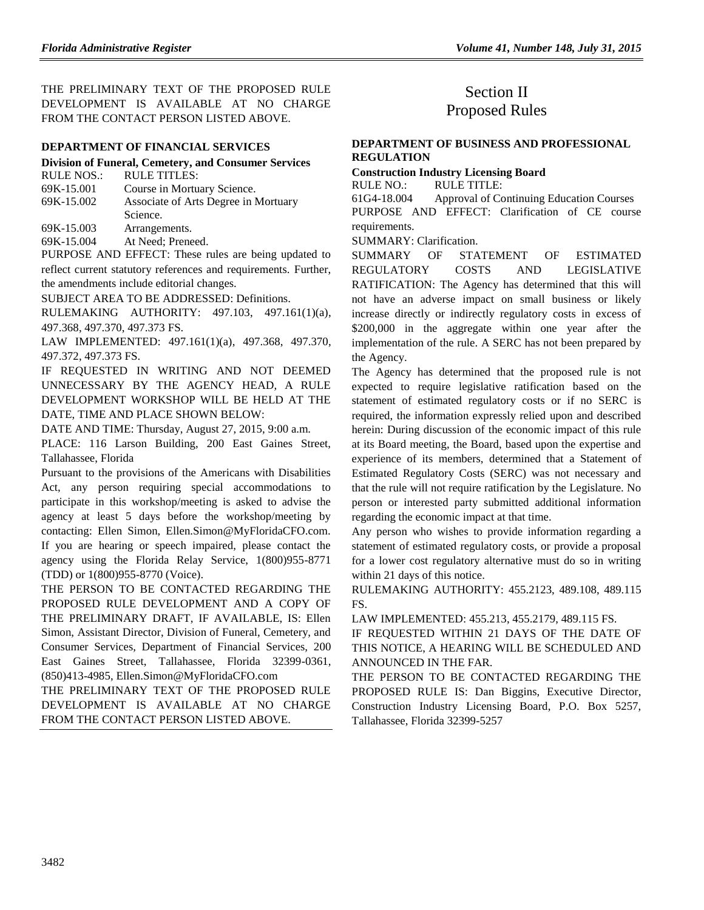THE PRELIMINARY TEXT OF THE PROPOSED RULE DEVELOPMENT IS AVAILABLE AT NO CHARGE FROM THE CONTACT PERSON LISTED ABOVE.

#### **[DEPARTMENT OF FINANCIAL SERVICES](https://www.flrules.org/gateway/department.asp?id=69)**

#### **[Division of Funeral, Cemetery, and Consumer Services](https://www.flrules.org/gateway/organization.asp?id=369)**

| RULE NOS.: | RULE TITLES:                         |
|------------|--------------------------------------|
| 69K-15.001 | Course in Mortuary Science.          |
| 69K-15.002 | Associate of Arts Degree in Mortuary |
|            | Science.                             |
| 69K-15.003 | Arrangements.                        |
|            |                                      |

[69K-15.004](https://www.flrules.org/gateway/ruleNo.asp?id=69K-15.004) At Need; Preneed.

PURPOSE AND EFFECT: These rules are being updated to reflect current statutory references and requirements. Further, the amendments include editorial changes.

SUBJECT AREA TO BE ADDRESSED: Definitions.

RULEMAKING AUTHORITY: [497.103,](https://www.flrules.org/gateway/statute.asp?id=497.103) [497.161\(1\)\(a\),](https://www.flrules.org/gateway/statute.asp?id=%20497.161(1)(a)) [497.368,](https://www.flrules.org/gateway/statute.asp?id=%20497.368) [497.370,](https://www.flrules.org/gateway/statute.asp?id=%20497.370) [497.373](https://www.flrules.org/gateway/statute.asp?id=%20497.373) FS.

LAW IMPLEMENTED: [497.161\(1\)\(a\),](https://www.flrules.org/gateway/statute.asp?id=497.161(1)(a)) [497.368,](https://www.flrules.org/gateway/statute.asp?id=%20497.368) [497.370,](https://www.flrules.org/gateway/statute.asp?id=%20497.370) [497.372,](https://www.flrules.org/gateway/statute.asp?id=%20497.372) [497.373](https://www.flrules.org/gateway/statute.asp?id=%20497.373) FS.

IF REQUESTED IN WRITING AND NOT DEEMED UNNECESSARY BY THE AGENCY HEAD, A RULE DEVELOPMENT WORKSHOP WILL BE HELD AT THE DATE, TIME AND PLACE SHOWN BELOW:

DATE AND TIME: Thursday, August 27, 2015, 9:00 a.m.

PLACE: 116 Larson Building, 200 East Gaines Street, Tallahassee, Florida

Pursuant to the provisions of the Americans with Disabilities Act, any person requiring special accommodations to participate in this workshop/meeting is asked to advise the agency at least 5 days before the workshop/meeting by contacting: Ellen Simon, Ellen.Simon@MyFloridaCFO.com. If you are hearing or speech impaired, please contact the agency using the Florida Relay Service, 1(800)955-8771 (TDD) or 1(800)955-8770 (Voice).

THE PERSON TO BE CONTACTED REGARDING THE PROPOSED RULE DEVELOPMENT AND A COPY OF THE PRELIMINARY DRAFT, IF AVAILABLE, IS: Ellen Simon, Assistant Director, Division of Funeral, Cemetery, and Consumer Services, Department of Financial Services, 200 East Gaines Street, Tallahassee, Florida 32399-0361, (850)413-4985, Ellen.Simon@MyFloridaCFO.com

THE PRELIMINARY TEXT OF THE PROPOSED RULE DEVELOPMENT IS AVAILABLE AT NO CHARGE FROM THE CONTACT PERSON LISTED ABOVE.

# Section II Proposed Rules

#### **[DEPARTMENT OF BUSINESS AND PROFESSIONAL](https://www.flrules.org/gateway/department.asp?id=61)  [REGULATION](https://www.flrules.org/gateway/department.asp?id=61)**

#### **[Construction Industry Licensing Board](https://www.flrules.org/gateway/organization.asp?id=274)** RULE NO.: RULE TITLE:

[61G4-18.004](https://www.flrules.org/gateway/ruleNo.asp?id=61G4-18.004) Approval of Continuing Education Courses PURPOSE AND EFFECT: Clarification of CE course requirements.

SUMMARY: Clarification.

SUMMARY OF STATEMENT OF ESTIMATED REGULATORY COSTS AND LEGISLATIVE RATIFICATION: The Agency has determined that this will not have an adverse impact on small business or likely increase directly or indirectly regulatory costs in excess of \$200,000 in the aggregate within one year after the implementation of the rule. A SERC has not been prepared by the Agency.

The Agency has determined that the proposed rule is not expected to require legislative ratification based on the statement of estimated regulatory costs or if no SERC is required, the information expressly relied upon and described herein: During discussion of the economic impact of this rule at its Board meeting, the Board, based upon the expertise and experience of its members, determined that a Statement of Estimated Regulatory Costs (SERC) was not necessary and that the rule will not require ratification by the Legislature. No person or interested party submitted additional information regarding the economic impact at that time.

Any person who wishes to provide information regarding a statement of estimated regulatory costs, or provide a proposal for a lower cost regulatory alternative must do so in writing within 21 days of this notice.

RULEMAKING AUTHORITY: [455.2123, 489.108, 489.115](https://www.flrules.org/gateway/cfr.asp?id=455.2123,%20489.108,%20489.115%20FS)  [FS.](https://www.flrules.org/gateway/cfr.asp?id=455.2123,%20489.108,%20489.115%20FS)

LAW IMPLEMENTED: [455.213, 455.2179, 489.115 FS.](https://www.flrules.org/gateway/cfr.asp?id=455.213,%20455.2179,%20489.115%20FS)

IF REQUESTED WITHIN 21 DAYS OF THE DATE OF THIS NOTICE, A HEARING WILL BE SCHEDULED AND ANNOUNCED IN THE FAR.

THE PERSON TO BE CONTACTED REGARDING THE PROPOSED RULE IS: Dan Biggins, Executive Director, Construction Industry Licensing Board, P.O. Box 5257, Tallahassee, Florida 32399-5257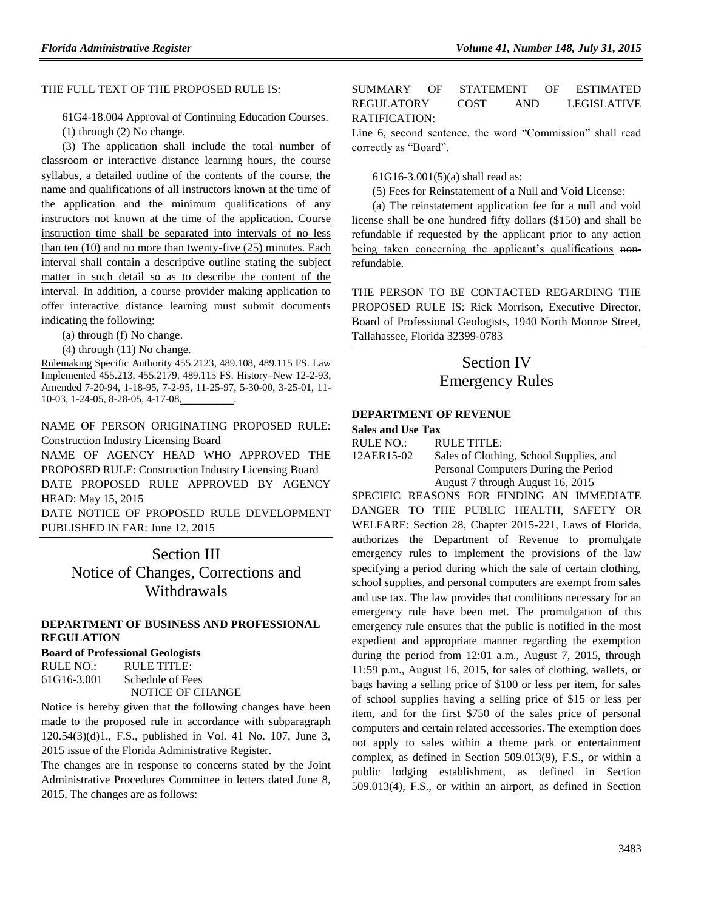#### THE FULL TEXT OF THE PROPOSED RULE IS:

[61G4-18.004](https://www.flrules.org/gateway/ruleNo.asp?id=61G4-18.004) Approval of Continuing Education Courses.

(1) through (2) No change.

(3) The application shall include the total number of classroom or interactive distance learning hours, the course syllabus, a detailed outline of the contents of the course, the name and qualifications of all instructors known at the time of the application and the minimum qualifications of any instructors not known at the time of the application. Course instruction time shall be separated into intervals of no less than ten (10) and no more than twenty-five (25) minutes. Each interval shall contain a descriptive outline stating the subject matter in such detail so as to describe the content of the interval. In addition, a course provider making application to offer interactive distance learning must submit documents indicating the following:

(a) through (f) No change.

(4) through (11) No change.

Rulemaking Specific Authority 455.2123, 489.108, 489.115 FS. Law Implemented 455.213, 455.2179, 489.115 FS. History–New 12-2-93, Amended 7-20-94, 1-18-95, 7-2-95, 11-25-97, 5-30-00, 3-25-01, 11- 10-03, 1-24-05, 8-28-05, 4-17-08,

NAME OF PERSON ORIGINATING PROPOSED RULE: Construction Industry Licensing Board

NAME OF AGENCY HEAD WHO APPROVED THE PROPOSED RULE: Construction Industry Licensing Board DATE PROPOSED RULE APPROVED BY AGENCY HEAD: May 15, 2015

DATE NOTICE OF PROPOSED RULE DEVELOPMENT PUBLISHED IN FAR: June 12, 2015

> Section III Notice of Changes, Corrections and **Withdrawals**

#### **[DEPARTMENT OF BUSINESS AND PROFESSIONAL](https://www.flrules.org/gateway/department.asp?id=61)  [REGULATION](https://www.flrules.org/gateway/department.asp?id=61)**

#### **[Board of Professional Geologists](https://www.flrules.org/gateway/organization.asp?id=268)**

RULE NO.: RULE TITLE: [61G16-3.001](https://www.flrules.org/gateway/ruleNo.asp?id=61G16-3.001) Schedule of Fees NOTICE OF CHANGE

Notice is hereby given that the following changes have been made to the proposed rule in accordance with subparagraph 120.54(3)(d)1., F.S., published in Vol. 41 No. 107, June 3, 2015 issue of the Florida Administrative Register.

The changes are in response to concerns stated by the Joint Administrative Procedures Committee in letters dated June 8, 2015. The changes are as follows:

#### SUMMARY OF STATEMENT OF ESTIMATED REGULATORY COST AND LEGISLATIVE RATIFICATION:

Line 6, second sentence, the word "Commission" shall read correctly as "Board".

61G16-3.001(5)(a) shall read as:

(5) Fees for Reinstatement of a Null and Void License:

(a) The reinstatement application fee for a null and void license shall be one hundred fifty dollars (\$150) and shall be refundable if requested by the applicant prior to any action being taken concerning the applicant's qualifications nonrefundable.

THE PERSON TO BE CONTACTED REGARDING THE PROPOSED RULE IS: Rick Morrison, Executive Director, Board of Professional Geologists, 1940 North Monroe Street, Tallahassee, Florida 32399-0783

# Section IV Emergency Rules

#### **[DEPARTMENT OF REVENUE](https://www.flrules.org/gateway/department.asp?id=12)**

**[Sales and Use Tax](https://www.flrules.org/gateway/organization.asp?id=33)**

RULE NO.: RULE TITLE:

[12AER15-02](https://www.flrules.org/gateway/ruleNo.asp?id=12AER15-02) Sales of Clothing, School Supplies, and Personal Computers During the Period August 7 through August 16, 2015

SPECIFIC REASONS FOR FINDING AN IMMEDIATE DANGER TO THE PUBLIC HEALTH, SAFETY OR WELFARE: Section 28, Chapter 2015-221, Laws of Florida, authorizes the Department of Revenue to promulgate emergency rules to implement the provisions of the law specifying a period during which the sale of certain clothing, school supplies, and personal computers are exempt from sales and use tax. The law provides that conditions necessary for an emergency rule have been met. The promulgation of this emergency rule ensures that the public is notified in the most expedient and appropriate manner regarding the exemption during the period from 12:01 a.m., August 7, 2015, through 11:59 p.m., August 16, 2015, for sales of clothing, wallets, or bags having a selling price of \$100 or less per item, for sales of school supplies having a selling price of \$15 or less per item, and for the first \$750 of the sales price of personal computers and certain related accessories. The exemption does not apply to sales within a theme park or entertainment complex, as defined in Section 509.013(9), F.S., or within a public lodging establishment, as defined in Section 509.013(4), F.S., or within an airport, as defined in Section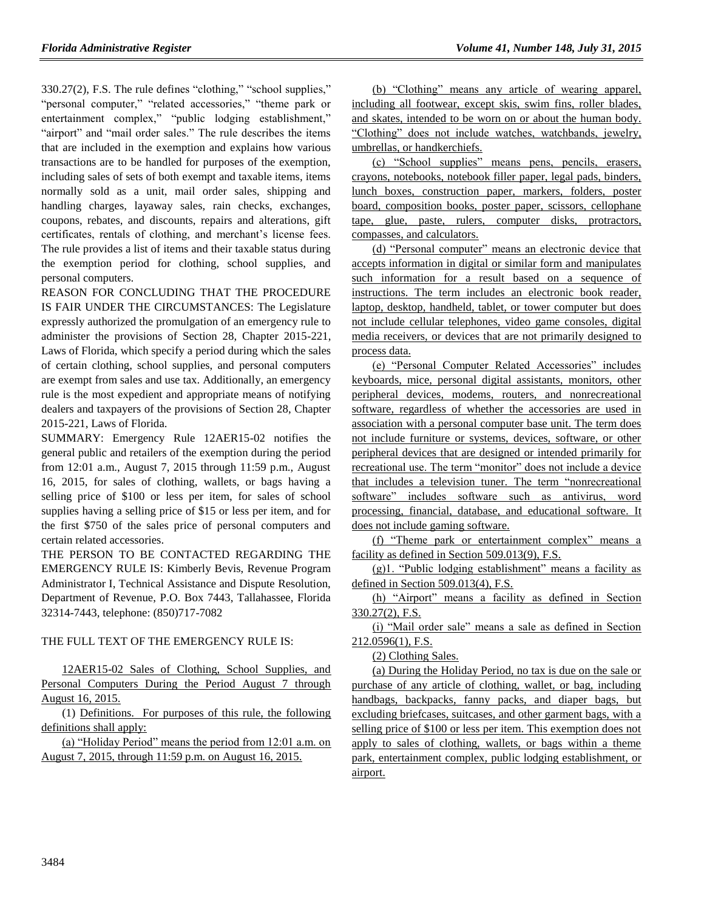330.27(2), F.S. The rule defines "clothing," "school supplies," "personal computer," "related accessories," "theme park or entertainment complex," "public lodging establishment," "airport" and "mail order sales." The rule describes the items that are included in the exemption and explains how various transactions are to be handled for purposes of the exemption, including sales of sets of both exempt and taxable items, items normally sold as a unit, mail order sales, shipping and handling charges, layaway sales, rain checks, exchanges, coupons, rebates, and discounts, repairs and alterations, gift certificates, rentals of clothing, and merchant's license fees. The rule provides a list of items and their taxable status during the exemption period for clothing, school supplies, and personal computers.

REASON FOR CONCLUDING THAT THE PROCEDURE IS FAIR UNDER THE CIRCUMSTANCES: The Legislature expressly authorized the promulgation of an emergency rule to administer the provisions of Section 28, Chapter 2015-221, Laws of Florida, which specify a period during which the sales of certain clothing, school supplies, and personal computers are exempt from sales and use tax. Additionally, an emergency rule is the most expedient and appropriate means of notifying dealers and taxpayers of the provisions of Section 28, Chapter 2015-221, Laws of Florida.

SUMMARY: Emergency Rule 12AER15-02 notifies the general public and retailers of the exemption during the period from 12:01 a.m., August 7, 2015 through 11:59 p.m., August 16, 2015, for sales of clothing, wallets, or bags having a selling price of \$100 or less per item, for sales of school supplies having a selling price of \$15 or less per item, and for the first \$750 of the sales price of personal computers and certain related accessories.

THE PERSON TO BE CONTACTED REGARDING THE EMERGENCY RULE IS: Kimberly Bevis, Revenue Program Administrator I, Technical Assistance and Dispute Resolution, Department of Revenue, P.O. Box 7443, Tallahassee, Florida 32314-7443, telephone: (850)717-7082

#### THE FULL TEXT OF THE EMERGENCY RULE IS:

12AER15-02 Sales of Clothing, School Supplies, and Personal Computers During the Period August 7 through August 16, 2015.

(1) Definitions. For purposes of this rule, the following definitions shall apply:

(a) "Holiday Period" means the period from 12:01 a.m. on August 7, 2015, through 11:59 p.m. on August 16, 2015.

(b) "Clothing" means any article of wearing apparel, including all footwear, except skis, swim fins, roller blades, and skates, intended to be worn on or about the human body. "Clothing" does not include watches, watchbands, jewelry, umbrellas, or handkerchiefs.

(c) "School supplies" means pens, pencils, erasers, crayons, notebooks, notebook filler paper, legal pads, binders, lunch boxes, construction paper, markers, folders, poster board, composition books, poster paper, scissors, cellophane tape, glue, paste, rulers, computer disks, protractors, compasses, and calculators.

(d) "Personal computer" means an electronic device that accepts information in digital or similar form and manipulates such information for a result based on a sequence of instructions. The term includes an electronic book reader, laptop, desktop, handheld, tablet, or tower computer but does not include cellular telephones, video game consoles, digital media receivers, or devices that are not primarily designed to process data.

(e) "Personal Computer Related Accessories" includes keyboards, mice, personal digital assistants, monitors, other peripheral devices, modems, routers, and nonrecreational software, regardless of whether the accessories are used in association with a personal computer base unit. The term does not include furniture or systems, devices, software, or other peripheral devices that are designed or intended primarily for recreational use. The term "monitor" does not include a device that includes a television tuner. The term "nonrecreational software" includes software such as antivirus, word processing, financial, database, and educational software. It does not include gaming software.

(f) "Theme park or entertainment complex" means a facility as defined in Section 509.013(9), F.S.

(g)1. "Public lodging establishment" means a facility as defined in Section 509.013(4), F.S.

(h) "Airport" means a facility as defined in Section 330.27(2), F.S.

(i) "Mail order sale" means a sale as defined in Section 212.0596(1), F.S.

(2) Clothing Sales.

(a) During the Holiday Period, no tax is due on the sale or purchase of any article of clothing, wallet, or bag, including handbags, backpacks, fanny packs, and diaper bags, but excluding briefcases, suitcases, and other garment bags, with a selling price of \$100 or less per item. This exemption does not apply to sales of clothing, wallets, or bags within a theme park, entertainment complex, public lodging establishment, or airport.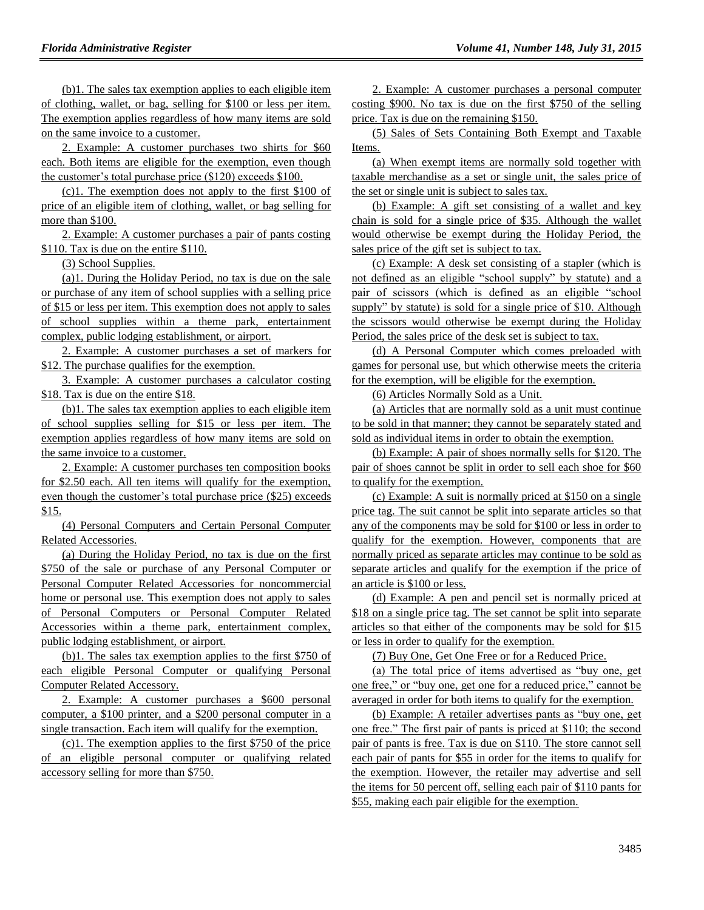(b)1. The sales tax exemption applies to each eligible item of clothing, wallet, or bag, selling for \$100 or less per item. The exemption applies regardless of how many items are sold on the same invoice to a customer.

2. Example: A customer purchases two shirts for \$60 each. Both items are eligible for the exemption, even though the customer's total purchase price (\$120) exceeds \$100.

(c)1. The exemption does not apply to the first \$100 of price of an eligible item of clothing, wallet, or bag selling for more than \$100.

2. Example: A customer purchases a pair of pants costing \$110. Tax is due on the entire \$110.

(3) School Supplies.

(a)1. During the Holiday Period, no tax is due on the sale or purchase of any item of school supplies with a selling price of \$15 or less per item. This exemption does not apply to sales of school supplies within a theme park, entertainment complex, public lodging establishment, or airport.

2. Example: A customer purchases a set of markers for \$12. The purchase qualifies for the exemption.

3. Example: A customer purchases a calculator costing \$18. Tax is due on the entire \$18.

(b)1. The sales tax exemption applies to each eligible item of school supplies selling for \$15 or less per item. The exemption applies regardless of how many items are sold on the same invoice to a customer.

2. Example: A customer purchases ten composition books for \$2.50 each. All ten items will qualify for the exemption, even though the customer's total purchase price (\$25) exceeds \$15.

(4) Personal Computers and Certain Personal Computer Related Accessories.

(a) During the Holiday Period, no tax is due on the first \$750 of the sale or purchase of any Personal Computer or Personal Computer Related Accessories for noncommercial home or personal use. This exemption does not apply to sales of Personal Computers or Personal Computer Related Accessories within a theme park, entertainment complex, public lodging establishment, or airport.

(b)1. The sales tax exemption applies to the first \$750 of each eligible Personal Computer or qualifying Personal Computer Related Accessory.

2. Example: A customer purchases a \$600 personal computer, a \$100 printer, and a \$200 personal computer in a single transaction. Each item will qualify for the exemption.

(c)1. The exemption applies to the first \$750 of the price of an eligible personal computer or qualifying related accessory selling for more than \$750.

2. Example: A customer purchases a personal computer costing \$900. No tax is due on the first \$750 of the selling price. Tax is due on the remaining \$150.

(5) Sales of Sets Containing Both Exempt and Taxable Items.

(a) When exempt items are normally sold together with taxable merchandise as a set or single unit, the sales price of the set or single unit is subject to sales tax.

(b) Example: A gift set consisting of a wallet and key chain is sold for a single price of \$35. Although the wallet would otherwise be exempt during the Holiday Period, the sales price of the gift set is subject to tax.

(c) Example: A desk set consisting of a stapler (which is not defined as an eligible "school supply" by statute) and a pair of scissors (which is defined as an eligible "school supply" by statute) is sold for a single price of \$10. Although the scissors would otherwise be exempt during the Holiday Period, the sales price of the desk set is subject to tax.

(d) A Personal Computer which comes preloaded with games for personal use, but which otherwise meets the criteria for the exemption, will be eligible for the exemption.

(6) Articles Normally Sold as a Unit.

(a) Articles that are normally sold as a unit must continue to be sold in that manner; they cannot be separately stated and sold as individual items in order to obtain the exemption.

(b) Example: A pair of shoes normally sells for \$120. The pair of shoes cannot be split in order to sell each shoe for \$60 to qualify for the exemption.

(c) Example: A suit is normally priced at \$150 on a single price tag. The suit cannot be split into separate articles so that any of the components may be sold for \$100 or less in order to qualify for the exemption. However, components that are normally priced as separate articles may continue to be sold as separate articles and qualify for the exemption if the price of an article is \$100 or less.

(d) Example: A pen and pencil set is normally priced at \$18 on a single price tag. The set cannot be split into separate articles so that either of the components may be sold for \$15 or less in order to qualify for the exemption.

(7) Buy One, Get One Free or for a Reduced Price.

(a) The total price of items advertised as "buy one, get one free," or "buy one, get one for a reduced price," cannot be averaged in order for both items to qualify for the exemption.

(b) Example: A retailer advertises pants as "buy one, get one free." The first pair of pants is priced at \$110; the second pair of pants is free. Tax is due on \$110. The store cannot sell each pair of pants for \$55 in order for the items to qualify for the exemption. However, the retailer may advertise and sell the items for 50 percent off, selling each pair of \$110 pants for \$55, making each pair eligible for the exemption.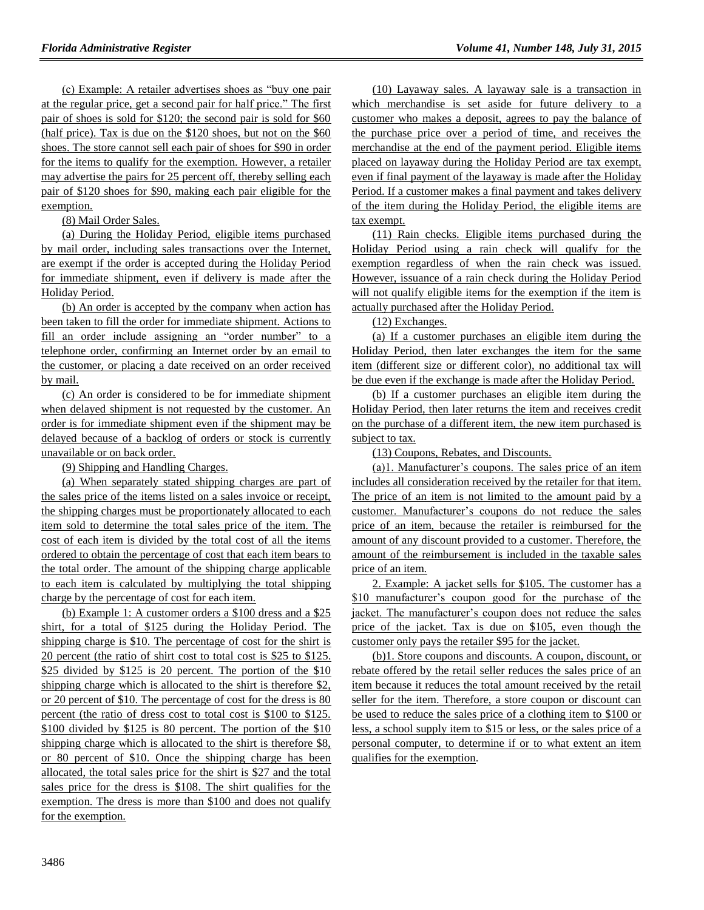(c) Example: A retailer advertises shoes as "buy one pair at the regular price, get a second pair for half price." The first pair of shoes is sold for \$120; the second pair is sold for \$60 (half price). Tax is due on the \$120 shoes, but not on the \$60 shoes. The store cannot sell each pair of shoes for \$90 in order for the items to qualify for the exemption. However, a retailer may advertise the pairs for 25 percent off, thereby selling each pair of \$120 shoes for \$90, making each pair eligible for the exemption.

(8) Mail Order Sales.

(a) During the Holiday Period, eligible items purchased by mail order, including sales transactions over the Internet, are exempt if the order is accepted during the Holiday Period for immediate shipment, even if delivery is made after the Holiday Period.

(b) An order is accepted by the company when action has been taken to fill the order for immediate shipment. Actions to fill an order include assigning an "order number" to a telephone order, confirming an Internet order by an email to the customer, or placing a date received on an order received by mail.

(c) An order is considered to be for immediate shipment when delayed shipment is not requested by the customer. An order is for immediate shipment even if the shipment may be delayed because of a backlog of orders or stock is currently unavailable or on back order.

(9) Shipping and Handling Charges.

(a) When separately stated shipping charges are part of the sales price of the items listed on a sales invoice or receipt, the shipping charges must be proportionately allocated to each item sold to determine the total sales price of the item. The cost of each item is divided by the total cost of all the items ordered to obtain the percentage of cost that each item bears to the total order. The amount of the shipping charge applicable to each item is calculated by multiplying the total shipping charge by the percentage of cost for each item.

(b) Example 1: A customer orders a \$100 dress and a \$25 shirt, for a total of \$125 during the Holiday Period. The shipping charge is \$10. The percentage of cost for the shirt is 20 percent (the ratio of shirt cost to total cost is \$25 to \$125. \$25 divided by \$125 is 20 percent. The portion of the \$10 shipping charge which is allocated to the shirt is therefore \$2, or 20 percent of \$10. The percentage of cost for the dress is 80 percent (the ratio of dress cost to total cost is \$100 to \$125. \$100 divided by \$125 is 80 percent. The portion of the \$10 shipping charge which is allocated to the shirt is therefore \$8, or 80 percent of \$10. Once the shipping charge has been allocated, the total sales price for the shirt is \$27 and the total sales price for the dress is \$108. The shirt qualifies for the exemption. The dress is more than \$100 and does not qualify for the exemption.

(10) Layaway sales. A layaway sale is a transaction in which merchandise is set aside for future delivery to a customer who makes a deposit, agrees to pay the balance of the purchase price over a period of time, and receives the merchandise at the end of the payment period. Eligible items placed on layaway during the Holiday Period are tax exempt, even if final payment of the layaway is made after the Holiday Period. If a customer makes a final payment and takes delivery of the item during the Holiday Period, the eligible items are tax exempt.

(11) Rain checks. Eligible items purchased during the Holiday Period using a rain check will qualify for the exemption regardless of when the rain check was issued. However, issuance of a rain check during the Holiday Period will not qualify eligible items for the exemption if the item is actually purchased after the Holiday Period.

(12) Exchanges.

(a) If a customer purchases an eligible item during the Holiday Period, then later exchanges the item for the same item (different size or different color), no additional tax will be due even if the exchange is made after the Holiday Period.

(b) If a customer purchases an eligible item during the Holiday Period, then later returns the item and receives credit on the purchase of a different item, the new item purchased is subject to tax.

(13) Coupons, Rebates, and Discounts.

(a)1. Manufacturer's coupons. The sales price of an item includes all consideration received by the retailer for that item. The price of an item is not limited to the amount paid by a customer. Manufacturer's coupons do not reduce the sales price of an item, because the retailer is reimbursed for the amount of any discount provided to a customer. Therefore, the amount of the reimbursement is included in the taxable sales price of an item.

2. Example: A jacket sells for \$105. The customer has a \$10 manufacturer's coupon good for the purchase of the jacket. The manufacturer's coupon does not reduce the sales price of the jacket. Tax is due on \$105, even though the customer only pays the retailer \$95 for the jacket.

(b)1. Store coupons and discounts. A coupon, discount, or rebate offered by the retail seller reduces the sales price of an item because it reduces the total amount received by the retail seller for the item. Therefore, a store coupon or discount can be used to reduce the sales price of a clothing item to \$100 or less, a school supply item to \$15 or less, or the sales price of a personal computer, to determine if or to what extent an item qualifies for the exemption.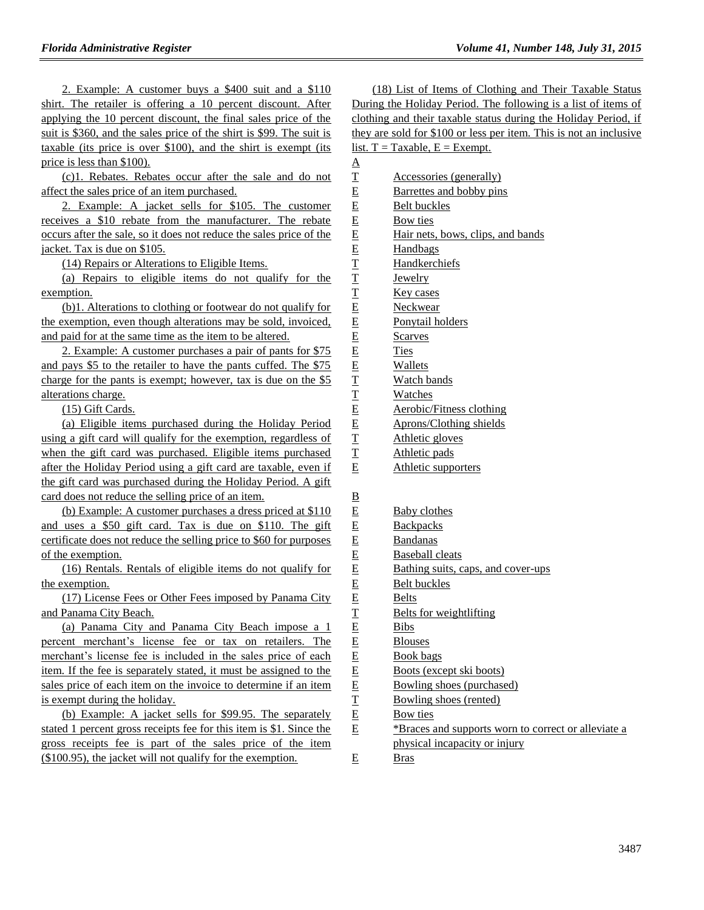2. Example: A customer buys a \$400 suit and a \$110 shirt. The retailer is offering a 10 percent discount. After applying the 10 percent discount, the final sales price of the suit is \$360, and the sales price of the shirt is \$99. The suit is taxable (its price is over \$100), and the shirt is exempt (its price is less than \$100).

(c)1. Rebates. Rebates occur after the sale and do not affect the sales price of an item purchased.

2. Example: A jacket sells for \$105. The customer receives a \$10 rebate from the manufacturer. The rebate occurs after the sale, so it does not reduce the sales price of the jacket. Tax is due on \$105.

(14) Repairs or Alterations to Eligible Items.

(a) Repairs to eligible items do not qualify for the exemption.

(b)1. Alterations to clothing or footwear do not qualify for the exemption, even though alterations may be sold, invoiced, and paid for at the same time as the item to be altered.

2. Example: A customer purchases a pair of pants for \$75 and pays \$5 to the retailer to have the pants cuffed. The \$75 charge for the pants is exempt; however, tax is due on the \$5 alterations charge.

(15) Gift Cards.

(a) Eligible items purchased during the Holiday Period using a gift card will qualify for the exemption, regardless of when the gift card was purchased. Eligible items purchased after the Holiday Period using a gift card are taxable, even if the gift card was purchased during the Holiday Period. A gift card does not reduce the selling price of an item.

(b) Example: A customer purchases a dress priced at \$110 and uses a \$50 gift card. Tax is due on \$110. The gift certificate does not reduce the selling price to \$60 for purposes of the exemption.

(16) Rentals. Rentals of eligible items do not qualify for the exemption.

(17) License Fees or Other Fees imposed by Panama City and Panama City Beach.

(a) Panama City and Panama City Beach impose a 1 percent merchant's license fee or tax on retailers. The merchant's license fee is included in the sales price of each item. If the fee is separately stated, it must be assigned to the sales price of each item on the invoice to determine if an item is exempt during the holiday.

(b) Example: A jacket sells for \$99.95. The separately stated 1 percent gross receipts fee for this item is \$1. Since the gross receipts fee is part of the sales price of the item (\$100.95), the jacket will not qualify for the exemption.

(18) List of Items of Clothing and Their Taxable Status During the Holiday Period. The following is a list of items of clothing and their taxable status during the Holiday Period, if they are sold for \$100 or less per item. This is not an inclusive list.  $T = Taxable$ ,  $E = Exempt$ .

T Accessories (generally) E Barrettes and bobby pins E Belt buckles E Bow ties E Hair nets, bows, clips, and bands E Handbags T Handkerchiefs T Jewelry T Key cases E Neckwear E Ponytail holders E Scarves E Ties E Wallets T Watch bands

- T Watches
- E Aerobic/Fitness clothing
- E Aprons/Clothing shields
- T Athletic gloves
- T Athletic pads
- E Athletic supporters

B

 $\mathbf{A}$ 

- E Baby clothes
- E Backpacks
- E Bandanas
- E Baseball cleats
- E Bathing suits, caps, and cover-ups
- E Belt buckles
- E Belts
- T Belts for weightlifting
- E Bibs
- E Blouses
- E Book bags
- E Boots (except ski boots)
- E Bowling shoes (purchased)
- T Bowling shoes (rented)
- E Bow ties
- E \*Braces and supports worn to correct or alleviate a physical incapacity or injury
- E Bras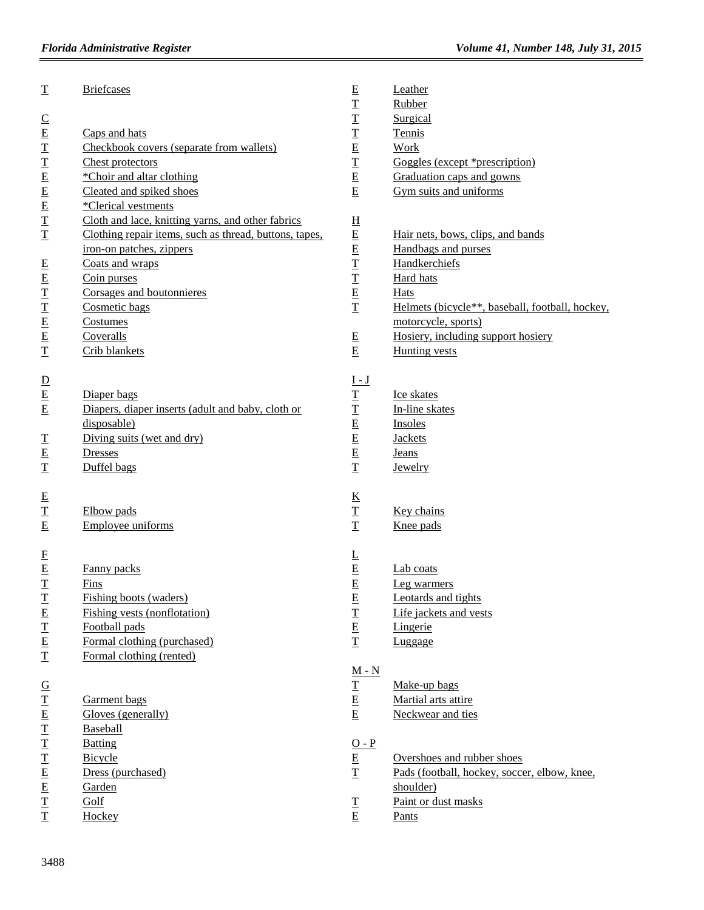| $\underline{\mathbf{T}}$<br>$\frac{C}{E}$<br>工工EEE | <b>Briefcases</b><br>Caps and hats<br>Checkbook covers (separate from wallets)<br>Chest protectors<br>*Choir and altar clothing | E<br>T<br>$\mathbf T$<br>$\overline{\mathbf{T}}$<br>$\overline{E}$<br>$\overline{\mathbf{T}}$<br>$\overline{E}$<br>$\overline{E}$ | Leather<br>Rubber<br>Surgical<br>Tennis<br><b>Work</b><br>Goggles (except *prescription)<br>Graduation caps and gowns |
|----------------------------------------------------|---------------------------------------------------------------------------------------------------------------------------------|-----------------------------------------------------------------------------------------------------------------------------------|-----------------------------------------------------------------------------------------------------------------------|
|                                                    | Cleated and spiked shoes                                                                                                        |                                                                                                                                   | Gym suits and uniforms                                                                                                |
|                                                    | *Clerical vestments<br>Cloth and lace, knitting yarns, and other fabrics                                                        |                                                                                                                                   |                                                                                                                       |
| $\mathbf T$<br>$\mathbf T$                         | Clothing repair items, such as thread, buttons, tapes,                                                                          | $\overline{\mathrm{H}}$<br>$\underline{\mathbf{E}}$                                                                               | Hair nets, bows, clips, and bands                                                                                     |
|                                                    | iron-on patches, zippers                                                                                                        | E                                                                                                                                 | Handbags and purses                                                                                                   |
|                                                    | Coats and wraps                                                                                                                 |                                                                                                                                   | Handkerchiefs                                                                                                         |
|                                                    | Coin purses                                                                                                                     |                                                                                                                                   | Hard hats                                                                                                             |
|                                                    | Corsages and boutonnieres                                                                                                       | $T$<br>$T$<br>$E$<br>$T$                                                                                                          | <b>Hats</b>                                                                                                           |
| $E$ $E$ $T$ $T$ $E$ $E$                            | Cosmetic bags                                                                                                                   |                                                                                                                                   | Helmets (bicycle**, baseball, football, hockey,                                                                       |
|                                                    | Costumes                                                                                                                        |                                                                                                                                   | motorcycle, sports)                                                                                                   |
|                                                    | Coveralls                                                                                                                       | E                                                                                                                                 | Hosiery, including support hosiery                                                                                    |
| $\overline{\mathbf{T}}$                            | Crib blankets                                                                                                                   | $\underline{\mathbf{E}}$                                                                                                          | Hunting vests                                                                                                         |
|                                                    |                                                                                                                                 | <u>I - J</u>                                                                                                                      |                                                                                                                       |
| $\frac{D}{E}$                                      | Diaper bags                                                                                                                     |                                                                                                                                   | Ice skates                                                                                                            |
|                                                    | Diapers, diaper inserts (adult and baby, cloth or                                                                               |                                                                                                                                   | In-line skates                                                                                                        |
|                                                    | disposable)                                                                                                                     | $\frac{T}{T}$                                                                                                                     | Insoles                                                                                                               |
|                                                    | Diving suits (wet and dry)                                                                                                      | $\underline{\mathbf{E}}$                                                                                                          | <b>Jackets</b>                                                                                                        |
| $\frac{T}{E}$                                      | Dresses                                                                                                                         | $\underline{\mathbf{E}}$                                                                                                          | <b>Jeans</b>                                                                                                          |
| $\underline{\mathbf{T}}$                           | Duffel bags                                                                                                                     | $\overline{\mathbf{T}}$                                                                                                           | Jewelry                                                                                                               |
|                                                    |                                                                                                                                 |                                                                                                                                   |                                                                                                                       |
|                                                    | Elbow pads                                                                                                                      |                                                                                                                                   | Key chains                                                                                                            |
| $\frac{E}{T}$                                      | Employee uniforms                                                                                                               | $rac{K}{T}$                                                                                                                       | Knee pads                                                                                                             |
|                                                    |                                                                                                                                 |                                                                                                                                   |                                                                                                                       |
| $\overline{E}$<br>$\overline{E}$                   | Fanny packs                                                                                                                     | $\overline{\Gamma}$<br>$\underline{\mathbf{E}}$                                                                                   | Lab coats                                                                                                             |
| $\overline{\mathbf{T}}$                            | <b>Fins</b>                                                                                                                     | $\underline{\mathbf{E}}$                                                                                                          |                                                                                                                       |
|                                                    | Fishing boots (waders)                                                                                                          | E                                                                                                                                 | Leg warmers<br>Leotards and tights                                                                                    |
| $\mathbf I$                                        | <b>Fishing vests (nonflotation)</b>                                                                                             |                                                                                                                                   | Life jackets and vests                                                                                                |
| $\frac{E}{T}$                                      | Football pads                                                                                                                   | $\frac{T}{E}$                                                                                                                     | Lingerie                                                                                                              |
| $\underline{\mathbf{E}}$                           | Formal clothing (purchased)                                                                                                     | $\overline{1}$                                                                                                                    | Luggage                                                                                                               |
| I                                                  | Formal clothing (rented)                                                                                                        |                                                                                                                                   |                                                                                                                       |
|                                                    |                                                                                                                                 | $M - N$                                                                                                                           |                                                                                                                       |
| $\overline{G}$                                     |                                                                                                                                 | $\underline{\mathbf{T}}$                                                                                                          | Make-up bags                                                                                                          |
| $\overline{\mathbf{I}}$                            | <b>Garment</b> bags                                                                                                             | ${\bf E}$                                                                                                                         | Martial arts attire                                                                                                   |
|                                                    | Gloves (generally)                                                                                                              | $\underline{\mathbf{E}}$                                                                                                          | Neckwear and ties                                                                                                     |
|                                                    | Baseball                                                                                                                        |                                                                                                                                   |                                                                                                                       |
| ETTTT                                              | <b>Batting</b>                                                                                                                  | $O - P$                                                                                                                           |                                                                                                                       |
|                                                    | Bicycle                                                                                                                         | $\underline{\mathbf{E}}$                                                                                                          | Overshoes and rubber shoes                                                                                            |
| E                                                  | Dress (purchased)                                                                                                               | $\mathbf T$                                                                                                                       | Pads (football, hockey, soccer, elbow, knee,                                                                          |
| E                                                  | Garden                                                                                                                          |                                                                                                                                   | shoulder)                                                                                                             |
| $\overline{\mathbf{T}}$                            | Golf                                                                                                                            | $\underline{\mathbf{T}}$                                                                                                          | Paint or dust masks                                                                                                   |
| T                                                  | Hockey                                                                                                                          | $\overline{\text{E}}$                                                                                                             | Pants                                                                                                                 |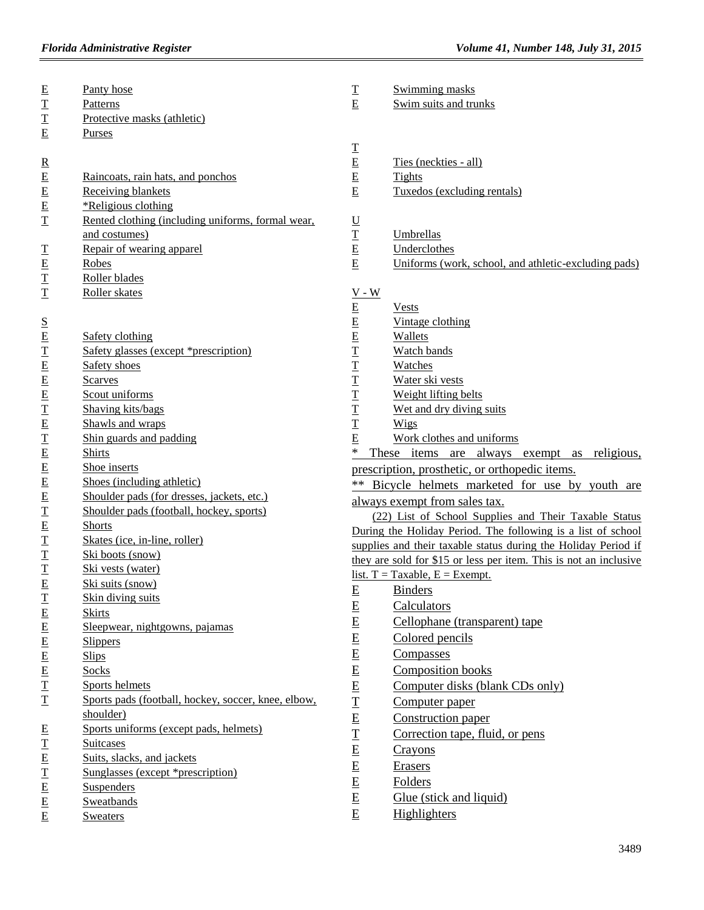| $E$ $T$ $T$ $E$                                                                                     | Panty hose                                          | $\underline{\text{T}}$                                                                                                                                                                                                                                                                                                                                                                                                                                                                                                            | Swimming masks                                                    |
|-----------------------------------------------------------------------------------------------------|-----------------------------------------------------|-----------------------------------------------------------------------------------------------------------------------------------------------------------------------------------------------------------------------------------------------------------------------------------------------------------------------------------------------------------------------------------------------------------------------------------------------------------------------------------------------------------------------------------|-------------------------------------------------------------------|
|                                                                                                     | Patterns<br>Protective masks (athletic)             | E                                                                                                                                                                                                                                                                                                                                                                                                                                                                                                                                 | Swim suits and trunks                                             |
|                                                                                                     |                                                     |                                                                                                                                                                                                                                                                                                                                                                                                                                                                                                                                   |                                                                   |
|                                                                                                     | Purses                                              |                                                                                                                                                                                                                                                                                                                                                                                                                                                                                                                                   |                                                                   |
|                                                                                                     |                                                     | $\frac{T}{E}$                                                                                                                                                                                                                                                                                                                                                                                                                                                                                                                     | Ties (neckties - all)                                             |
| $\underline{\mathbf{R}}$ $\underline{\mathbf{E}}$ $\underline{\mathbf{E}}$ $\underline{\mathbf{E}}$ | Raincoats, rain hats, and ponchos                   |                                                                                                                                                                                                                                                                                                                                                                                                                                                                                                                                   | <b>Tights</b>                                                     |
|                                                                                                     |                                                     | $\underline{\mathbf{E}}$<br>$\underline{\mathbf{E}}$                                                                                                                                                                                                                                                                                                                                                                                                                                                                              | Tuxedos (excluding rentals)                                       |
|                                                                                                     | <b>Receiving blankets</b>                           |                                                                                                                                                                                                                                                                                                                                                                                                                                                                                                                                   |                                                                   |
|                                                                                                     | *Religious clothing                                 |                                                                                                                                                                                                                                                                                                                                                                                                                                                                                                                                   |                                                                   |
| $\mathbf T$                                                                                         | Rented clothing (including uniforms, formal wear,   | $\underline{\underline{U}}$                                                                                                                                                                                                                                                                                                                                                                                                                                                                                                       |                                                                   |
|                                                                                                     | and costumes)                                       | $\underline{\text{T}}$                                                                                                                                                                                                                                                                                                                                                                                                                                                                                                            | Umbrellas                                                         |
| <b>T<br/>E<br/>T</b>                                                                                | Repair of wearing apparel                           | $\overline{E}$                                                                                                                                                                                                                                                                                                                                                                                                                                                                                                                    | Underclothes                                                      |
|                                                                                                     | Robes                                               | $\overline{E}$                                                                                                                                                                                                                                                                                                                                                                                                                                                                                                                    | Uniforms (work, school, and athletic-excluding pads)              |
|                                                                                                     | Roller blades                                       |                                                                                                                                                                                                                                                                                                                                                                                                                                                                                                                                   |                                                                   |
| $\mathbf T$                                                                                         | Roller skates                                       | $V - W$                                                                                                                                                                                                                                                                                                                                                                                                                                                                                                                           |                                                                   |
|                                                                                                     |                                                     | $\underline{\mathbf{E}}$                                                                                                                                                                                                                                                                                                                                                                                                                                                                                                          | <b>Vests</b>                                                      |
| $S_{\text{}}$                                                                                       |                                                     | $\underline{\mathbf{E}}$                                                                                                                                                                                                                                                                                                                                                                                                                                                                                                          | Vintage clothing                                                  |
|                                                                                                     | Safety clothing                                     | $\underline{\mathbf{E}}$                                                                                                                                                                                                                                                                                                                                                                                                                                                                                                          | Wallets                                                           |
|                                                                                                     | Safety glasses (except *prescription)               | $\mathbf T$                                                                                                                                                                                                                                                                                                                                                                                                                                                                                                                       | Watch bands                                                       |
|                                                                                                     | Safety shoes                                        | $\overline{\mathbf{T}}$                                                                                                                                                                                                                                                                                                                                                                                                                                                                                                           | Watches                                                           |
|                                                                                                     | <b>Scarves</b>                                      | $\overline{\mathbf{T}}$                                                                                                                                                                                                                                                                                                                                                                                                                                                                                                           | Water ski vests                                                   |
|                                                                                                     | Scout uniforms                                      | $\overline{1}$                                                                                                                                                                                                                                                                                                                                                                                                                                                                                                                    | Weight lifting belts                                              |
|                                                                                                     | Shaving kits/bags                                   | $\overline{\mathbf{T}}$                                                                                                                                                                                                                                                                                                                                                                                                                                                                                                           | Wet and dry diving suits                                          |
|                                                                                                     | Shawls and wraps                                    | T                                                                                                                                                                                                                                                                                                                                                                                                                                                                                                                                 | Wigs                                                              |
|                                                                                                     | Shin guards and padding                             | E                                                                                                                                                                                                                                                                                                                                                                                                                                                                                                                                 | Work clothes and uniforms                                         |
| <u> 色工 色 色 工 色 工 色 色 色 色 工 色 工</u>                                                                  | <b>Shirts</b>                                       | $\ast$                                                                                                                                                                                                                                                                                                                                                                                                                                                                                                                            | These items are always exempt as religious,                       |
|                                                                                                     | Shoe inserts                                        |                                                                                                                                                                                                                                                                                                                                                                                                                                                                                                                                   | prescription, prosthetic, or orthopedic items.                    |
|                                                                                                     | Shoes (including athletic)                          |                                                                                                                                                                                                                                                                                                                                                                                                                                                                                                                                   | ** Bicycle helmets marketed for use by youth are                  |
|                                                                                                     | Shoulder pads (for dresses, jackets, etc.)          |                                                                                                                                                                                                                                                                                                                                                                                                                                                                                                                                   | always exempt from sales tax.                                     |
|                                                                                                     | Shoulder pads (football, hockey, sports)            |                                                                                                                                                                                                                                                                                                                                                                                                                                                                                                                                   | (22) List of School Supplies and Their Taxable Status             |
|                                                                                                     | <b>Shorts</b>                                       |                                                                                                                                                                                                                                                                                                                                                                                                                                                                                                                                   | During the Holiday Period. The following is a list of school      |
|                                                                                                     | Skates (ice, in-line, roller)                       |                                                                                                                                                                                                                                                                                                                                                                                                                                                                                                                                   | supplies and their taxable status during the Holiday Period if    |
|                                                                                                     | Ski boots (snow)                                    |                                                                                                                                                                                                                                                                                                                                                                                                                                                                                                                                   | they are sold for \$15 or less per item. This is not an inclusive |
| $\frac{T}{T}$                                                                                       | Ski vests (water)                                   |                                                                                                                                                                                                                                                                                                                                                                                                                                                                                                                                   | <u>list. T = Taxable, E = Exempt.</u>                             |
|                                                                                                     | Ski suits (snow)                                    |                                                                                                                                                                                                                                                                                                                                                                                                                                                                                                                                   |                                                                   |
| I                                                                                                   | Skin diving suits                                   | $E_{\parallel}$                                                                                                                                                                                                                                                                                                                                                                                                                                                                                                                   | <b>Binders</b>                                                    |
|                                                                                                     | <b>Skirts</b>                                       | $\underline{\mathbf{E}}$                                                                                                                                                                                                                                                                                                                                                                                                                                                                                                          | Calculators                                                       |
| 医巨巨巨三                                                                                               | Sleepwear, nightgowns, pajamas                      | $\underline{\mathbf{E}}$                                                                                                                                                                                                                                                                                                                                                                                                                                                                                                          | Cellophane (transparent) tape                                     |
|                                                                                                     | <b>Slippers</b>                                     | $\underline{\mathbf{E}}$                                                                                                                                                                                                                                                                                                                                                                                                                                                                                                          | Colored pencils                                                   |
|                                                                                                     | <b>Slips</b>                                        | $\underline{\mathbf{E}}$                                                                                                                                                                                                                                                                                                                                                                                                                                                                                                          | Compasses                                                         |
|                                                                                                     | Socks                                               | $\overline{E}$                                                                                                                                                                                                                                                                                                                                                                                                                                                                                                                    | Composition books                                                 |
|                                                                                                     | Sports helmets                                      | $\underline{\mathbf{E}}$                                                                                                                                                                                                                                                                                                                                                                                                                                                                                                          | Computer disks (blank CDs only)                                   |
| I                                                                                                   | Sports pads (football, hockey, soccer, knee, elbow, | $\overline{\mathbf{T}}$                                                                                                                                                                                                                                                                                                                                                                                                                                                                                                           | Computer paper                                                    |
|                                                                                                     | shoulder)                                           |                                                                                                                                                                                                                                                                                                                                                                                                                                                                                                                                   | Construction paper                                                |
| E                                                                                                   | Sports uniforms (except pads, helmets)              | $\underline{\mathbf{E}}$                                                                                                                                                                                                                                                                                                                                                                                                                                                                                                          |                                                                   |
|                                                                                                     | <b>Suitcases</b>                                    | $\overline{\mathbf{T}}$                                                                                                                                                                                                                                                                                                                                                                                                                                                                                                           | Correction tape, fluid, or pens                                   |
| $\frac{T}{E}$                                                                                       | Suits, slacks, and jackets                          | $\underline{\mathbf{E}}% \mbox{ }\mathbf{E} \rightarrow \mathbf{E} \mbox{ } \ \ \underline{\mathbf{E}}% \mbox{ }\mathbf{E} \rightarrow \mathbf{E} \mbox{ } \ \ \underline{\mathbf{E}}% \mbox{ }\mathbf{E} \rightarrow \mathbf{E} \mbox{ } \ \ \underline{\mathbf{E}}% \mbox{ }\mathbf{E} \rightarrow \mathbf{E} \mbox{ } \ \ \underline{\mathbf{E}}% \mbox{ }\mathbf{E} \rightarrow \mathbf{E} \mbox{ } \ \ \underline{\mathbf{E}}% \mbox{ }\mathbf{E} \rightarrow \mathbf{E} \mbox{ } \ \ \underline{\mathbf{E}}% \mbox{ }\math$ | Crayons                                                           |
|                                                                                                     | Sunglasses (except *prescription)                   | $\underline{\mathbf{E}}$                                                                                                                                                                                                                                                                                                                                                                                                                                                                                                          | Erasers                                                           |
| 工EEE                                                                                                | <b>Suspenders</b>                                   | $\underline{\mathbf{E}}$                                                                                                                                                                                                                                                                                                                                                                                                                                                                                                          | <b>Folders</b>                                                    |
|                                                                                                     | <b>Sweatbands</b>                                   | $\underline{\mathbf{E}}$                                                                                                                                                                                                                                                                                                                                                                                                                                                                                                          | Glue (stick and liquid)                                           |
|                                                                                                     | <b>Sweaters</b>                                     | E                                                                                                                                                                                                                                                                                                                                                                                                                                                                                                                                 | Highlighters                                                      |
|                                                                                                     |                                                     |                                                                                                                                                                                                                                                                                                                                                                                                                                                                                                                                   |                                                                   |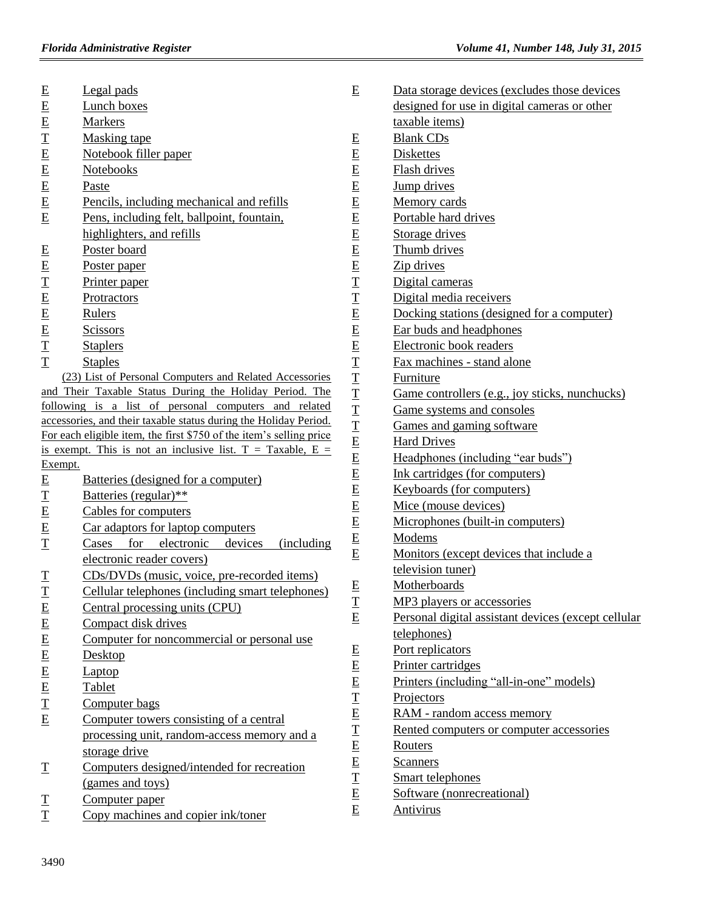|                          | Legal pads                                                          | E                           | Data storage devices (excludes those devices        |
|--------------------------|---------------------------------------------------------------------|-----------------------------|-----------------------------------------------------|
| $E$<br>$E$<br>$E$        | Lunch boxes                                                         |                             | designed for use in digital cameras or other        |
|                          | <b>Markers</b>                                                      |                             | taxable items)                                      |
| $\mathbf T$              | <b>Masking tape</b>                                                 | E                           | <b>Blank CDs</b>                                    |
|                          | Notebook filler paper                                               | $\underline{\mathbf{E}}$    | Diskettes                                           |
|                          | Notebooks                                                           | $\underline{\mathbf{E}}$    | Flash drives                                        |
|                          | Paste                                                               | $\overline{E}$              | Jump drives                                         |
| $E$ $E$ $E$ $E$ $E$      | Pencils, including mechanical and refills                           | $\underline{\mathbf{E}}$    | Memory cards                                        |
| E                        | Pens, including felt, ballpoint, fountain,                          | $\underline{\mathbf{E}}$    | Portable hard drives                                |
|                          | highlighters, and refills                                           |                             | Storage drives                                      |
|                          | Poster board                                                        | $\frac{E}{E}$               | Thumb drives                                        |
| $E$<br>$E$<br>$T$<br>$E$ | Poster paper                                                        | $\underline{\mathbf{E}}$    | Zip drives                                          |
|                          | Printer paper                                                       | $\overline{\mathbf{T}}$     | Digital cameras                                     |
|                          | Protractors                                                         | $\mathbf T$                 | Digital media receivers                             |
|                          | Rulers                                                              |                             | Docking stations (designed for a computer)          |
| $\frac{E}{E}$            | <b>Scissors</b>                                                     | $\frac{\text{E}}{\text{E}}$ | Ear buds and headphones                             |
|                          | <b>Staplers</b>                                                     |                             | Electronic book readers                             |
| $\mathbf T$              | <b>Staples</b>                                                      |                             | Fax machines - stand alone                          |
|                          | (23) List of Personal Computers and Related Accessories             |                             | Furniture                                           |
|                          | and Their Taxable Status During the Holiday Period. The             |                             | Game controllers (e.g., joy sticks, nunchucks)      |
|                          | following is a list of personal computers and related               |                             | Game systems and consoles                           |
|                          | accessories, and their taxable status during the Holiday Period.    |                             | Games and gaming software                           |
|                          | For each eligible item, the first \$750 of the item's selling price |                             | <b>Hard Drives</b>                                  |
|                          | is exempt. This is not an inclusive list. $T = Taxable$ , $E =$     |                             | Headphones (including "ear buds")                   |
| Exempt.                  |                                                                     | 工工工工工匠匠匠匠                   | Ink cartridges (for computers)                      |
| $\underline{\mathbf{E}}$ | Batteries (designed for a computer)                                 |                             | Keyboards (for computers)                           |
| $\mathbf{T}$             | Batteries (regular)**                                               |                             | Mice (mouse devices)                                |
| E                        | Cables for computers                                                |                             | Microphones (built-in computers)                    |
| $\underline{\mathbf{E}}$ | Car adaptors for laptop computers                                   | $\frac{\text{E}}{\text{E}}$ | Modems                                              |
| $\overline{\mathbf{T}}$  | for<br>electronic<br>Cases<br>devices<br><i>(including)</i>         |                             | Monitors (except devices that include a             |
|                          | electronic reader covers)                                           |                             | television tuner)                                   |
| $\mathbf T$              | CDs/DVDs (music, voice, pre-recorded items)                         | E                           | Motherboards                                        |
| T                        | Cellular telephones (including smart telephones)                    | I                           | MP3 players or accessories                          |
| $E$ $E$ $E$ $E$ $E$      | Central processing units (CPU)                                      | E                           | Personal digital assistant devices (except cellular |
|                          | Compact disk drives                                                 |                             | telephones)                                         |
|                          | Computer for noncommercial or personal use                          | E                           | Port replicators                                    |
|                          | Desktop                                                             |                             | Printer cartridges                                  |
| E                        | Laptop                                                              | $\frac{E}{E}$               | Printers (including "all-in-one" models)            |
| $\overline{E}$           | Tablet                                                              | $\overline{\mathbf{T}}$     | Projectors                                          |
| $\overline{\mathbf{T}}$  | Computer bags                                                       | E                           | RAM - random access memory                          |
| E                        | Computer towers consisting of a central                             |                             | Rented computers or computer accessories            |
|                          | processing unit, random-access memory and a                         |                             | Routers                                             |
|                          | storage drive                                                       |                             |                                                     |
| $\mathbf T$              | Computers designed/intended for recreation                          | 工EE工E                       | <b>Scanners</b>                                     |
|                          | (games and toys)                                                    |                             | Smart telephones                                    |
| $\mathbf T$              | Computer paper                                                      | E                           | Software (nonrecreational)                          |
| $\mathbf T$              | Copy machines and copier ink/toner                                  |                             | <b>Antivirus</b>                                    |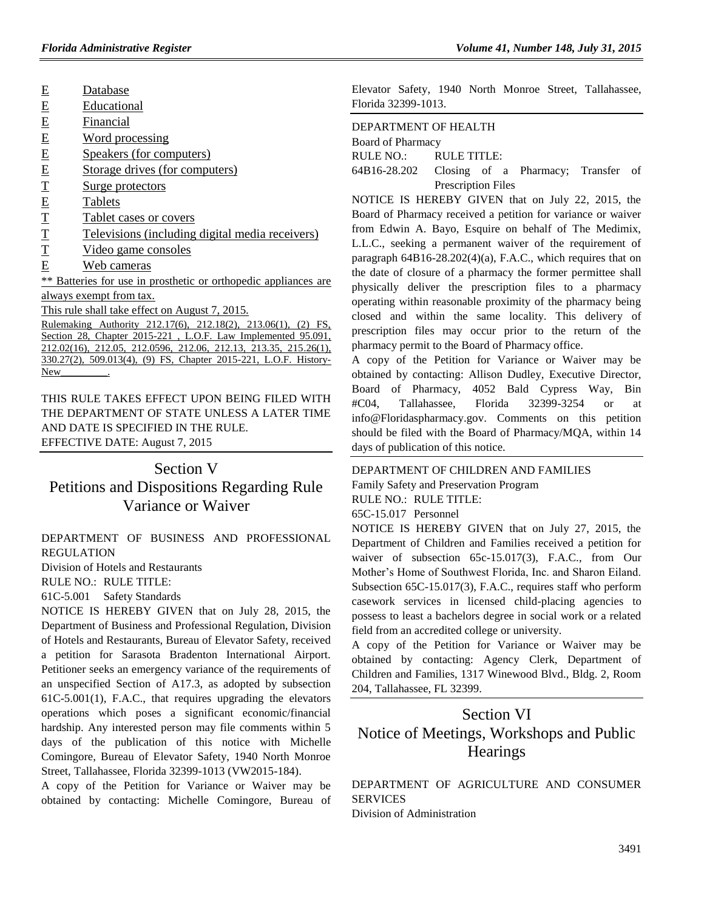- E Database
- E Educational
- E Financial
- E Word processing
- E Speakers (for computers)
- E Storage drives (for computers)
- T Surge protectors
- E Tablets
- T Tablet cases or covers
- T Televisions (including digital media receivers)
- T Video game consoles
- E Web cameras

\*\* Batteries for use in prosthetic or orthopedic appliances are always exempt from tax.

This rule shall take effect on August 7, 2015.

Rulemaking Authority 212.17(6), 212.18(2), 213.06(1), (2) FS, Section 28, Chapter 2015-221, L.O.F. Law Implemented 95.091, 212.02(16), 212.05, 212.0596, 212.06, 212.13, 213.35, 215.26(1), 330.27(2), 509.013(4), (9) FS, Chapter 2015-221, L.O.F. History-New\_

THIS RULE TAKES EFFECT UPON BEING FILED WITH THE DEPARTMENT OF STATE UNLESS A LATER TIME AND DATE IS SPECIFIED IN THE RULE. EFFECTIVE DATE: August 7, 2015

## Section V

Petitions and Dispositions Regarding Rule Variance or Waiver

[DEPARTMENT OF BUSINESS AND PROFESSIONAL](https://www.flrules.org/gateway/department.asp?id=61)  [REGULATION](https://www.flrules.org/gateway/department.asp?id=61)

[Division of Hotels and Restaurants](https://www.flrules.org/gateway/organization.asp?id=249)

RULE NO.: RULE TITLE:

[61C-5.001](https://www.flrules.org/gateway/ruleNo.asp?id=61C-5.001) Safety Standards

NOTICE IS HEREBY GIVEN that on July 28, 2015, the Department of Business and Professional Regulation, Division of Hotels and Restaurants, Bureau of Elevator Safety, received a petition for Sarasota Bradenton International Airport. Petitioner seeks an emergency variance of the requirements of an unspecified Section of A17.3, as adopted by subsection 61C-5.001(1), F.A.C., that requires upgrading the elevators operations which poses a significant economic/financial hardship. Any interested person may file comments within 5 days of the publication of this notice with Michelle Comingore, Bureau of Elevator Safety, 1940 North Monroe Street, Tallahassee, Florida 32399-1013 (VW2015-184).

A copy of the Petition for Variance or Waiver may be obtained by contacting: Michelle Comingore, Bureau of Elevator Safety, 1940 North Monroe Street, Tallahassee, Florida 32399-1013.

#### [DEPARTMENT OF HEALTH](https://www.flrules.org/gateway/department.asp?id=64)

[Board of Pharmacy](https://www.flrules.org/gateway/organization.asp?id=307)

RULE NO.: RULE TITLE:

[64B16-28.202](https://www.flrules.org/gateway/ruleNo.asp?id=64B16-28.202) Closing of a Pharmacy; Transfer of Prescription Files

NOTICE IS HEREBY GIVEN that on July 22, 2015, the Board of Pharmacy received a petition for variance or waiver from Edwin A. Bayo, Esquire on behalf of The Medimix, L.L.C., seeking a permanent waiver of the requirement of paragraph  $64B16-28.202(4)(a)$ , F.A.C., which requires that on the date of closure of a pharmacy the former permittee shall physically deliver the prescription files to a pharmacy operating within reasonable proximity of the pharmacy being closed and within the same locality. This delivery of prescription files may occur prior to the return of the pharmacy permit to the Board of Pharmacy office.

A copy of the Petition for Variance or Waiver may be obtained by contacting: Allison Dudley, Executive Director, Board of Pharmacy, 4052 Bald Cypress Way, Bin #C04, Tallahassee, Florida 32399-3254 or at [info@Floridaspharmacy.gov.](mailto:info@Floridaspharmacy.gov) Comments on this petition should be filed with the Board of Pharmacy/MQA, within 14 days of publication of this notice.

#### [DEPARTMENT OF CHILDREN AND FAMILIES](https://www.flrules.org/gateway/department.asp?id=65)

[Family Safety and Preservation Program](https://www.flrules.org/gateway/organization.asp?id=342) RULE NO.: RULE TITLE:

[65C-15.017](https://www.flrules.org/gateway/ruleNo.asp?id=65C-15.017) Personnel

NOTICE IS HEREBY GIVEN that on July 27, 2015, the Department of Children and Families received a petition for waiver of subsection 65c-15.017(3), F.A.C., from Our Mother's Home of Southwest Florida, Inc. and Sharon Eiland. Subsection 65C-15.017(3), F.A.C., requires staff who perform casework services in licensed child-placing agencies to possess to least a bachelors degree in social work or a related field from an accredited college or university.

A copy of the Petition for Variance or Waiver may be obtained by contacting: Agency Clerk, Department of Children and Families, 1317 Winewood Blvd., Bldg. 2, Room 204, Tallahassee, FL 32399.

# Section VI Notice of Meetings, Workshops and Public **Hearings**

[DEPARTMENT OF AGRICULTURE AND CONSUMER](https://www.flrules.org/gateway/department.asp?id=5)  **[SERVICES](https://www.flrules.org/gateway/department.asp?id=5)** [Division of Administration](https://www.flrules.org/gateway/organization.asp?id=161)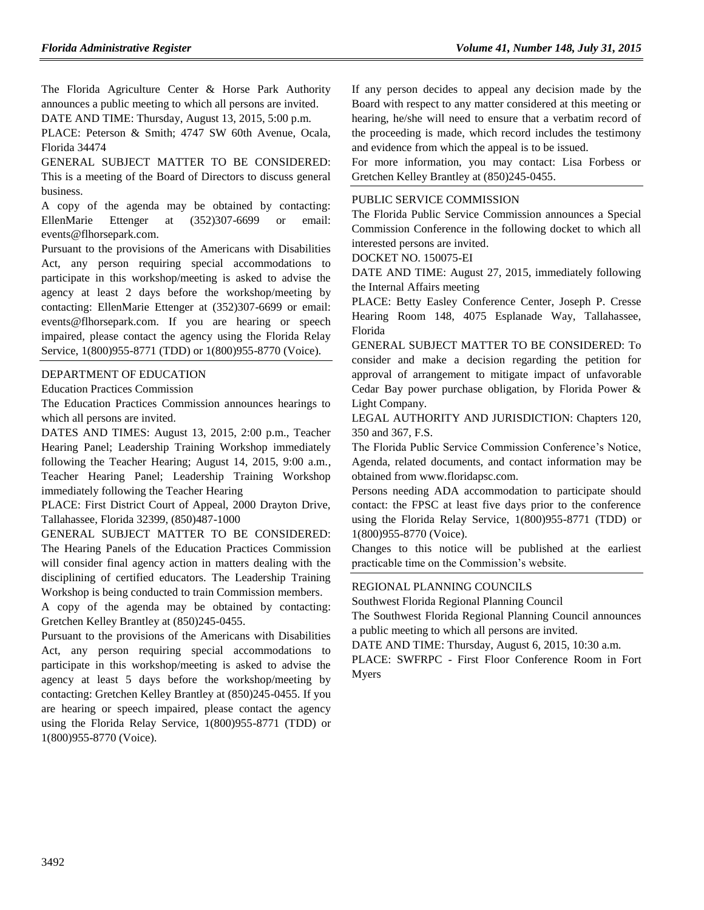The Florida Agriculture Center & Horse Park Authority announces a public meeting to which all persons are invited.

DATE AND TIME: Thursday, August 13, 2015, 5:00 p.m.

PLACE: Peterson & Smith; 4747 SW 60th Avenue, Ocala, Florida 34474

GENERAL SUBJECT MATTER TO BE CONSIDERED: This is a meeting of the Board of Directors to discuss general business.

A copy of the agenda may be obtained by contacting: EllenMarie Ettenger at (352)307-6699 or email: [events@flhorsepark.com.](mailto:events@flhorsepark.com)

Pursuant to the provisions of the Americans with Disabilities Act, any person requiring special accommodations to participate in this workshop/meeting is asked to advise the agency at least 2 days before the workshop/meeting by contacting: EllenMarie Ettenger at (352)307-6699 or email: [events@flhorsepark.com.](mailto:events@flhorsepark.com) If you are hearing or speech impaired, please contact the agency using the Florida Relay Service, 1(800)955-8771 (TDD) or 1(800)955-8770 (Voice).

#### [DEPARTMENT OF EDUCATION](https://www.flrules.org/gateway/department.asp?id=6)

[Education Practices Commission](https://www.flrules.org/gateway/organization.asp?id=196)

The Education Practices Commission announces hearings to which all persons are invited.

DATES AND TIMES: August 13, 2015, 2:00 p.m., Teacher Hearing Panel; Leadership Training Workshop immediately following the Teacher Hearing; August 14, 2015, 9:00 a.m., Teacher Hearing Panel; Leadership Training Workshop immediately following the Teacher Hearing

PLACE: First District Court of Appeal, 2000 Drayton Drive, Tallahassee, Florida 32399, (850)487-1000

GENERAL SUBJECT MATTER TO BE CONSIDERED: The Hearing Panels of the Education Practices Commission will consider final agency action in matters dealing with the disciplining of certified educators. The Leadership Training Workshop is being conducted to train Commission members.

A copy of the agenda may be obtained by contacting: Gretchen Kelley Brantley at (850)245-0455.

Pursuant to the provisions of the Americans with Disabilities Act, any person requiring special accommodations to participate in this workshop/meeting is asked to advise the agency at least 5 days before the workshop/meeting by contacting: Gretchen Kelley Brantley at (850)245-0455. If you are hearing or speech impaired, please contact the agency using the Florida Relay Service, 1(800)955-8771 (TDD) or 1(800)955-8770 (Voice).

If any person decides to appeal any decision made by the Board with respect to any matter considered at this meeting or hearing, he/she will need to ensure that a verbatim record of the proceeding is made, which record includes the testimony and evidence from which the appeal is to be issued.

For more information, you may contact: Lisa Forbess or Gretchen Kelley Brantley at (850)245-0455.

#### [PUBLIC SERVICE COMMISSION](https://www.flrules.org/gateway/department.asp?id=25)

The Florida Public Service Commission announces a Special Commission Conference in the following docket to which all interested persons are invited.

DOCKET NO. 150075-EI

DATE AND TIME: August 27, 2015, immediately following the Internal Affairs meeting

PLACE: Betty Easley Conference Center, Joseph P. Cresse Hearing Room 148, 4075 Esplanade Way, Tallahassee, Florida

GENERAL SUBJECT MATTER TO BE CONSIDERED: To consider and make a decision regarding the petition for approval of arrangement to mitigate impact of unfavorable Cedar Bay power purchase obligation, by Florida Power & Light Company.

LEGAL AUTHORITY AND JURISDICTION: Chapters 120, 350 and 367, F.S.

The Florida Public Service Commission Conference's Notice, Agenda, related documents, and contact information may be obtained from [www.floridapsc.com.](http://www.floridapsc.com/)

Persons needing ADA accommodation to participate should contact: the FPSC at least five days prior to the conference using the Florida Relay Service, 1(800)955-8771 (TDD) or 1(800)955-8770 (Voice).

Changes to this notice will be published at the earliest practicable time on the Commission's website.

#### [REGIONAL PLANNING COUNCILS](https://www.flrules.org/gateway/department.asp?id=29)

[Southwest Florida Regional Planning Council](https://www.flrules.org/gateway/organization.asp?id=65)

The Southwest Florida Regional Planning Council announces a public meeting to which all persons are invited.

DATE AND TIME: Thursday, August 6, 2015, 10:30 a.m.

PLACE: SWFRPC - First Floor Conference Room in Fort Myers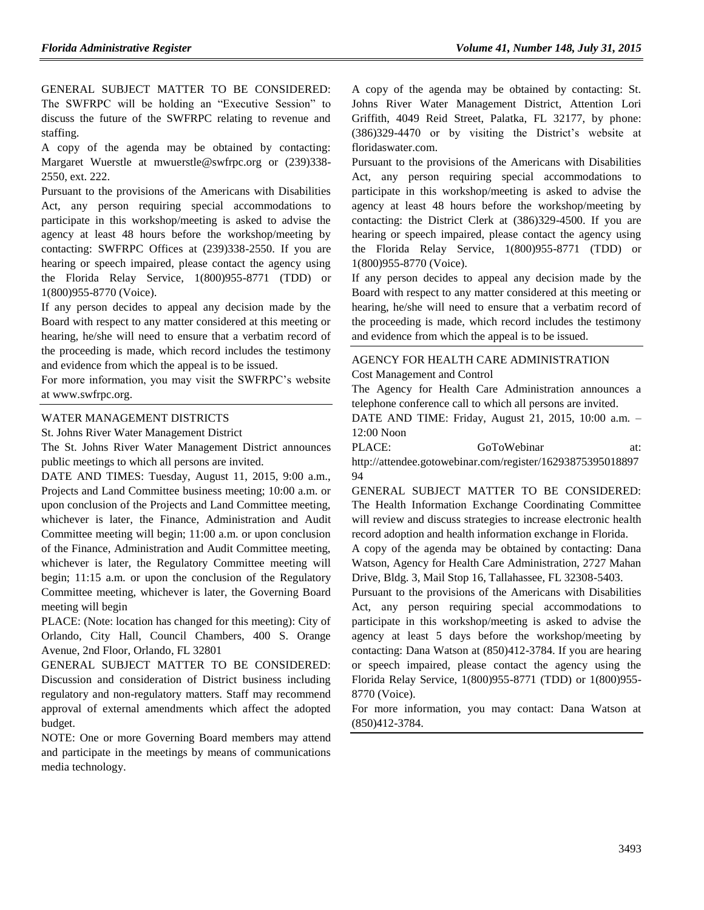GENERAL SUBJECT MATTER TO BE CONSIDERED: The SWFRPC will be holding an "Executive Session" to discuss the future of the SWFRPC relating to revenue and staffing.

A copy of the agenda may be obtained by contacting: Margaret Wuerstle at [mwuerstle@swfrpc.org](mailto:mwuerstle@swfrpc.org) or (239)338- 2550, ext. 222.

Pursuant to the provisions of the Americans with Disabilities Act, any person requiring special accommodations to participate in this workshop/meeting is asked to advise the agency at least 48 hours before the workshop/meeting by contacting: SWFRPC Offices at (239)338-2550. If you are hearing or speech impaired, please contact the agency using the Florida Relay Service, 1(800)955-8771 (TDD) or 1(800)955-8770 (Voice).

If any person decides to appeal any decision made by the Board with respect to any matter considered at this meeting or hearing, he/she will need to ensure that a verbatim record of the proceeding is made, which record includes the testimony and evidence from which the appeal is to be issued.

For more information, you may visit the SWFRPC's website a[t www.swfrpc.org.](http://www.swfrpc.org/)

#### [WATER MANAGEMENT DISTRICTS](https://www.flrules.org/gateway/department.asp?id=40)

[St. Johns River Water Management District](https://www.flrules.org/gateway/organization.asp?id=122)

The St. Johns River Water Management District announces public meetings to which all persons are invited.

DATE AND TIMES: Tuesday, August 11, 2015, 9:00 a.m., Projects and Land Committee business meeting; 10:00 a.m. or upon conclusion of the Projects and Land Committee meeting, whichever is later, the Finance, Administration and Audit Committee meeting will begin; 11:00 a.m. or upon conclusion of the Finance, Administration and Audit Committee meeting, whichever is later, the Regulatory Committee meeting will begin; 11:15 a.m. or upon the conclusion of the Regulatory Committee meeting, whichever is later, the Governing Board meeting will begin

PLACE: (Note: location has changed for this meeting): City of Orlando, City Hall, Council Chambers, 400 S. Orange Avenue, 2nd Floor, Orlando, FL 32801

GENERAL SUBJECT MATTER TO BE CONSIDERED: Discussion and consideration of District business including regulatory and non-regulatory matters. Staff may recommend approval of external amendments which affect the adopted budget.

NOTE: One or more Governing Board members may attend and participate in the meetings by means of communications media technology.

A copy of the agenda may be obtained by contacting: St. Johns River Water Management District, Attention Lori Griffith, 4049 Reid Street, Palatka, FL 32177, by phone: (386)329-4470 or by visiting the District's website at floridaswater.com.

Pursuant to the provisions of the Americans with Disabilities Act, any person requiring special accommodations to participate in this workshop/meeting is asked to advise the agency at least 48 hours before the workshop/meeting by contacting: the District Clerk at (386)329-4500. If you are hearing or speech impaired, please contact the agency using the Florida Relay Service, 1(800)955-8771 (TDD) or 1(800)955-8770 (Voice).

If any person decides to appeal any decision made by the Board with respect to any matter considered at this meeting or hearing, he/she will need to ensure that a verbatim record of the proceeding is made, which record includes the testimony and evidence from which the appeal is to be issued.

#### [AGENCY FOR HEALTH CARE ADMINISTRATION](https://www.flrules.org/gateway/department.asp?id=59) [Cost Management and Control](https://www.flrules.org/gateway/organization.asp?id=187)

The Agency for Health Care Administration announces a telephone conference call to which all persons are invited.

DATE AND TIME: Friday, August 21, 2015, 10:00 a.m. – 12:00 Noon

PLACE: GoToWebinar at: [http://attendee.gotowebinar.com/register/16293875395018897](http://attendee.gotowebinar.com/register/1629387539501889794) [94](http://attendee.gotowebinar.com/register/1629387539501889794)

GENERAL SUBJECT MATTER TO BE CONSIDERED: The Health Information Exchange Coordinating Committee will review and discuss strategies to increase electronic health record adoption and health information exchange in Florida.

A copy of the agenda may be obtained by contacting: Dana Watson, Agency for Health Care Administration, 2727 Mahan Drive, Bldg. 3, Mail Stop 16, Tallahassee, FL 32308-5403.

Pursuant to the provisions of the Americans with Disabilities Act, any person requiring special accommodations to participate in this workshop/meeting is asked to advise the agency at least 5 days before the workshop/meeting by contacting: Dana Watson at (850)412-3784. If you are hearing or speech impaired, please contact the agency using the Florida Relay Service, 1(800)955-8771 (TDD) or 1(800)955- 8770 (Voice).

For more information, you may contact: Dana Watson at (850)412-3784.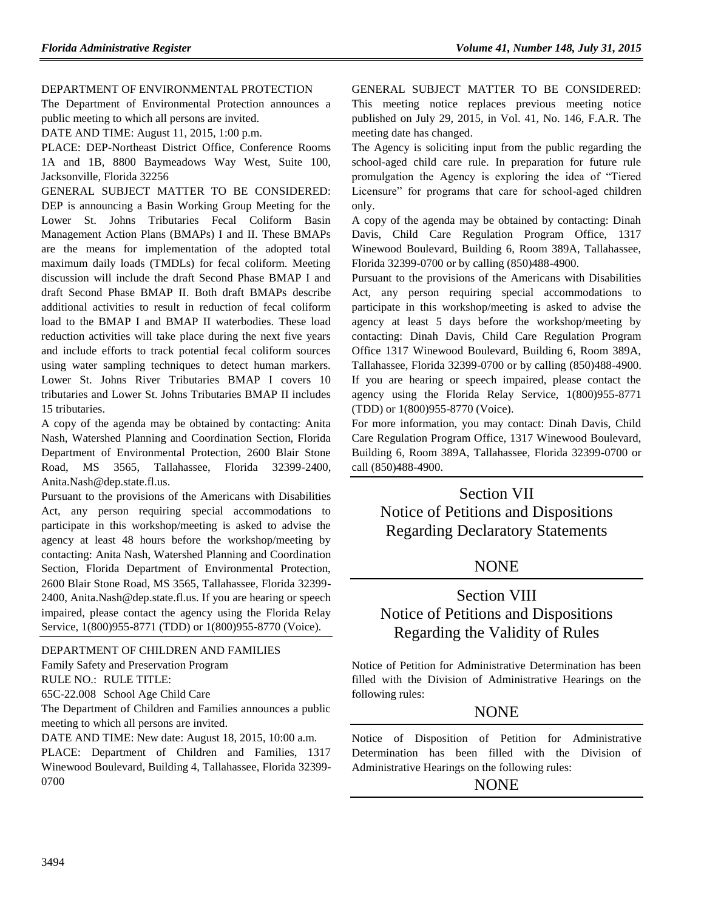#### [DEPARTMENT OF ENVIRONMENTAL PROTECTION](https://www.flrules.org/gateway/department.asp?id=62)

The Department of Environmental Protection announces a public meeting to which all persons are invited.

DATE AND TIME: August 11, 2015, 1:00 p.m.

PLACE: DEP-Northeast District Office, Conference Rooms 1A and 1B, 8800 Baymeadows Way West, Suite 100, Jacksonville, Florida 32256

GENERAL SUBJECT MATTER TO BE CONSIDERED: DEP is announcing a Basin Working Group Meeting for the Lower St. Johns Tributaries Fecal Coliform Basin Management Action Plans (BMAPs) I and II. These BMAPs are the means for implementation of the adopted total maximum daily loads (TMDLs) for fecal coliform. Meeting discussion will include the draft Second Phase BMAP I and draft Second Phase BMAP II. Both draft BMAPs describe additional activities to result in reduction of fecal coliform load to the BMAP I and BMAP II waterbodies. These load reduction activities will take place during the next five years and include efforts to track potential fecal coliform sources using water sampling techniques to detect human markers. Lower St. Johns River Tributaries BMAP I covers 10 tributaries and Lower St. Johns Tributaries BMAP II includes 15 tributaries.

A copy of the agenda may be obtained by contacting: Anita Nash, Watershed Planning and Coordination Section, Florida Department of Environmental Protection, 2600 Blair Stone Road, MS 3565, Tallahassee, Florida 32399-2400, [Anita.Nash@dep.state.fl.us.](mailto:Anita.Nash@dep.state.fl.us)

Pursuant to the provisions of the Americans with Disabilities Act, any person requiring special accommodations to participate in this workshop/meeting is asked to advise the agency at least 48 hours before the workshop/meeting by contacting: Anita Nash, Watershed Planning and Coordination Section, Florida Department of Environmental Protection, 2600 Blair Stone Road, MS 3565, Tallahassee, Florida 32399- 2400, [Anita.Nash@dep.state.fl.us.](mailto:Anita.Nash@dep.state.fl.us) If you are hearing or speech impaired, please contact the agency using the Florida Relay Service, 1(800)955-8771 (TDD) or 1(800)955-8770 (Voice).

#### [DEPARTMENT OF CHILDREN AND FAMILIES](https://www.flrules.org/gateway/department.asp?id=65)

[Family Safety and Preservation Program](https://www.flrules.org/gateway/organization.asp?id=342)

RULE NO.: RULE TITLE:

[65C-22.008](https://www.flrules.org/gateway/ruleNo.asp?id=65C-22.008) School Age Child Care

The Department of Children and Families announces a public meeting to which all persons are invited.

DATE AND TIME: New date: August 18, 2015, 10:00 a.m. PLACE: Department of Children and Families, 1317 Winewood Boulevard, Building 4, Tallahassee, Florida 32399- 0700

GENERAL SUBJECT MATTER TO BE CONSIDERED: This meeting notice replaces previous meeting notice published on July 29, 2015, in Vol. 41, No. 146, F.A.R. The meeting date has changed.

The Agency is soliciting input from the public regarding the school-aged child care rule. In preparation for future rule promulgation the Agency is exploring the idea of "Tiered Licensure" for programs that care for school-aged children only.

A copy of the agenda may be obtained by contacting: Dinah Davis, Child Care Regulation Program Office, 1317 Winewood Boulevard, Building 6, Room 389A, Tallahassee, Florida 32399-0700 or by calling (850)488-4900.

Pursuant to the provisions of the Americans with Disabilities Act, any person requiring special accommodations to participate in this workshop/meeting is asked to advise the agency at least 5 days before the workshop/meeting by contacting: Dinah Davis, Child Care Regulation Program Office 1317 Winewood Boulevard, Building 6, Room 389A, Tallahassee, Florida 32399-0700 or by calling (850)488-4900. If you are hearing or speech impaired, please contact the agency using the Florida Relay Service, 1(800)955-8771 (TDD) or 1(800)955-8770 (Voice).

For more information, you may contact: Dinah Davis, Child Care Regulation Program Office, 1317 Winewood Boulevard, Building 6, Room 389A, Tallahassee, Florida 32399-0700 or call (850)488-4900.

# Section VII Notice of Petitions and Dispositions Regarding Declaratory Statements

## NONE

# Section VIII Notice of Petitions and Dispositions Regarding the Validity of Rules

Notice of Petition for Administrative Determination has been filled with the Division of Administrative Hearings on the following rules:

## **NONE**

Notice of Disposition of Petition for Administrative Determination has been filled with the Division of Administrative Hearings on the following rules:

## **NONE**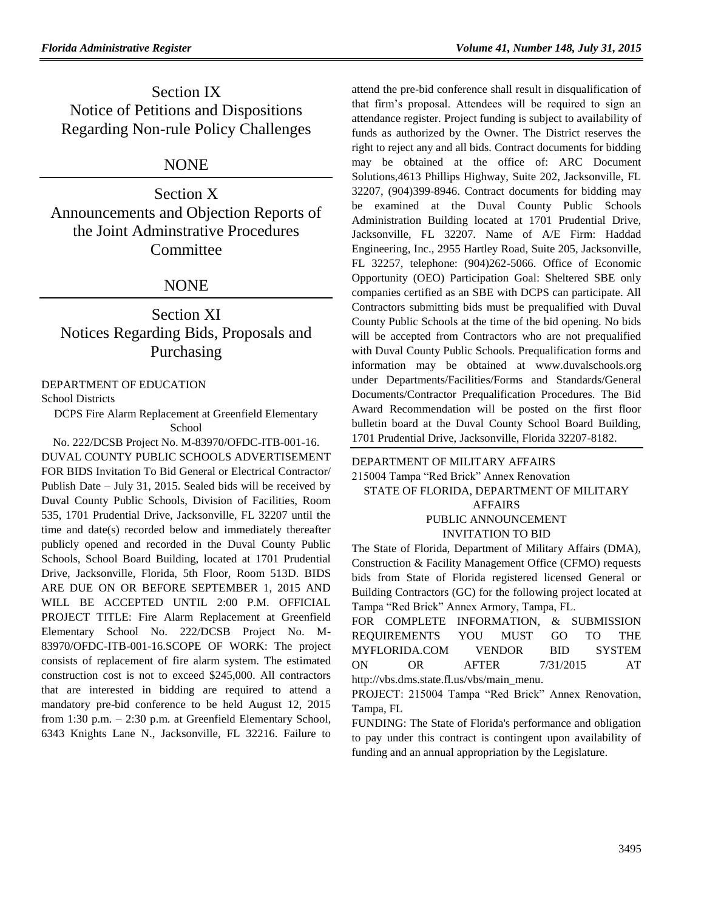Section IX Notice of Petitions and Dispositions Regarding Non-rule Policy Challenges

## NONE

Section X Announcements and Objection Reports of the Joint Adminstrative Procedures Committee

## NONE

# Section XI Notices Regarding Bids, Proposals and Purchasing

#### [DEPARTMENT OF EDUCATION](https://www.flrules.org/gateway/department.asp?id=6)

[School Districts](https://www.flrules.org/gateway/organization.asp?id=211)

DCPS Fire Alarm Replacement at Greenfield Elementary School

No. 222/DCSB Project No. M-83970/OFDC-ITB-001-16. DUVAL COUNTY PUBLIC SCHOOLS ADVERTISEMENT FOR BIDS Invitation To Bid General or Electrical Contractor/ Publish Date – July 31, 2015. Sealed bids will be received by Duval County Public Schools, Division of Facilities, Room 535, 1701 Prudential Drive, Jacksonville, FL 32207 until the time and date(s) recorded below and immediately thereafter publicly opened and recorded in the Duval County Public Schools, School Board Building, located at 1701 Prudential Drive, Jacksonville, Florida, 5th Floor, Room 513D. BIDS ARE DUE ON OR BEFORE SEPTEMBER 1, 2015 AND WILL BE ACCEPTED UNTIL 2:00 P.M. OFFICIAL PROJECT TITLE: Fire Alarm Replacement at Greenfield Elementary School No. 222/DCSB Project No. M-83970/OFDC-ITB-001-16.SCOPE OF WORK: The project consists of replacement of fire alarm system. The estimated construction cost is not to exceed \$245,000. All contractors that are interested in bidding are required to attend a mandatory pre-bid conference to be held August 12, 2015 from 1:30 p.m. – 2:30 p.m. at Greenfield Elementary School, 6343 Knights Lane N., Jacksonville, FL 32216. Failure to

attend the pre-bid conference shall result in disqualification of that firm's proposal. Attendees will be required to sign an attendance register. Project funding is subject to availability of funds as authorized by the Owner. The District reserves the right to reject any and all bids. Contract documents for bidding may be obtained at the office of: ARC Document Solutions,4613 Phillips Highway, Suite 202, Jacksonville, FL 32207, (904)399-8946. Contract documents for bidding may be examined at the Duval County Public Schools Administration Building located at 1701 Prudential Drive, Jacksonville, FL 32207. Name of A/E Firm: Haddad Engineering, Inc., 2955 Hartley Road, Suite 205, Jacksonville, FL 32257, telephone: (904)262-5066. Office of Economic Opportunity (OEO) Participation Goal: Sheltered SBE only companies certified as an SBE with DCPS can participate. All Contractors submitting bids must be prequalified with Duval County Public Schools at the time of the bid opening. No bids will be accepted from Contractors who are not prequalified with Duval County Public Schools. Prequalification forms and information may be obtained at [www.duvalschools.org](http://www.duvalschools.org/) under Departments/Facilities/Forms and Standards/General Documents/Contractor Prequalification Procedures. The Bid Award Recommendation will be posted on the first floor bulletin board at the Duval County School Board Building, 1701 Prudential Drive, Jacksonville, Florida 32207-8182.

[DEPARTMENT OF MILITARY AFFAIRS](https://www.flrules.org/gateway/department.asp?id=70) 215004 Tampa "Red Brick" Annex Renovation STATE OF FLORIDA, DEPARTMENT OF MILITARY AFFAIRS PUBLIC ANNOUNCEMENT INVITATION TO BID

The State of Florida, Department of Military Affairs (DMA), Construction & Facility Management Office (CFMO) requests bids from State of Florida registered licensed General or Building Contractors (GC) for the following project located at Tampa "Red Brick" Annex Armory, Tampa, FL.

FOR COMPLETE INFORMATION, & SUBMISSION REQUIREMENTS YOU MUST GO TO THE MYFLORIDA.COM VENDOR BID SYSTEM ON OR AFTER 7/31/2015 AT [http://vbs.dms.state.fl.us/vbs/main\\_menu.](http://vbs.dms.state.fl.us/vbs/main_menu)

PROJECT: 215004 Tampa "Red Brick" Annex Renovation, Tampa, FL

FUNDING: The State of Florida's performance and obligation to pay under this contract is contingent upon availability of funding and an annual appropriation by the Legislature.